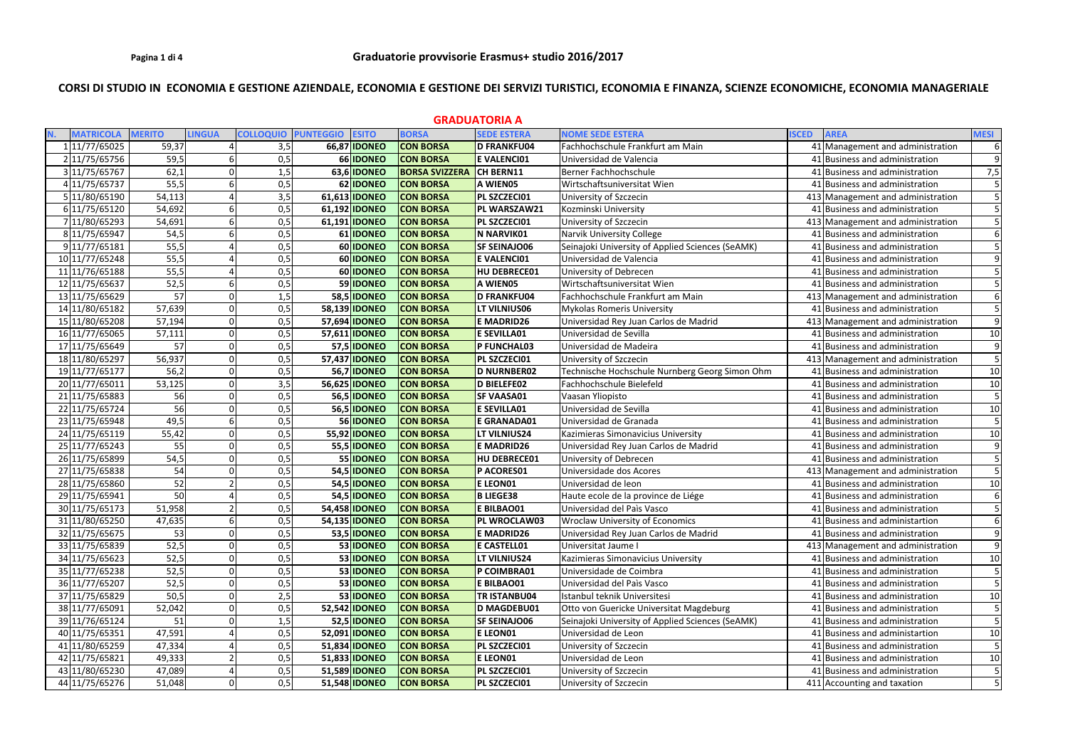# CORSI DI STUDIO IN ECONOMIA E GESTIONE AZIENDALE, ECONOMIA E GESTIONE DEI SERVIZI TURISTICI, ECONOMIA E FINANZA, SCIENZE ECONOMICHE, ECONOMIA MANAGERIALE

| <b>GRADUATORIA A</b> |                  |                 |                |                  |                  |                      |                       |                     |                                                  |              |                                   |                |
|----------------------|------------------|-----------------|----------------|------------------|------------------|----------------------|-----------------------|---------------------|--------------------------------------------------|--------------|-----------------------------------|----------------|
|                      | <b>MATRICOLA</b> | <b>MERITO</b>   | <b>LINGUA</b>  | <b>COLLOQUIO</b> | <b>PUNTEGGIO</b> | <b>ESITO</b>         | <b>BORSA</b>          | <b>SEDE ESTERA</b>  | <b>NOME SEDE ESTERA</b>                          | <b>ISCED</b> | <b>AREA</b>                       | <b>MESI</b>    |
|                      | 1 11/77/65025    | 59,37           |                | 3,5              |                  | 66,87 IDONEO         | <b>CON BORSA</b>      | D FRANKFU04         | Fachhochschule Frankfurt am Main                 |              | 41 Management and administration  | 6              |
|                      | 2 11/75/65756    | 59,5            |                | 0,5              |                  | 66 IDONEO            | <b>CON BORSA</b>      | <b>E VALENCIO1</b>  | Universidad de Valencia                          |              | 41 Business and administration    | 9              |
|                      | 3 11/75/65767    | 62,1            | $\overline{0}$ | 1,5              |                  | 63,6 IDONEO          | <b>BORSA SVIZZERA</b> | CH BERN11           | Berner Fachhochschule                            |              | 41 Business and administration    | 7,5            |
|                      | 4 11/75/65737    | 55,5            | 6              | 0,5              |                  | 62 IDONEO            | <b>CON BORSA</b>      | A WIEN05            | Wirtschaftsuniversitat Wien                      |              | 41 Business and administration    |                |
|                      | 5 11/80/65190    | 54,113          |                | 3,5              |                  | 61,613 IDONEO        | <b>CON BORSA</b>      | PL SZCZECI01        | University of Szczecin                           |              | 413 Management and administration |                |
|                      | 6 11/75/65120    | 54,692          | 6              | 0,5              |                  | 61,192 IDONEO        | <b>CON BORSA</b>      | PL WARSZAW21        | Kozminski University                             |              | 41 Business and administration    | $\overline{5}$ |
|                      | 7 11/80/65293    | 54,691          |                | 0,5              |                  | 61,191 <b>IDONEO</b> | <b>CON BORSA</b>      | PL SZCZECI01        | University of Szczecin                           |              | 413 Management and administration |                |
|                      | 8 11/75/65947    | 54,5            |                | 0,5              |                  | 61 IDONEO            | <b>CON BORSA</b>      | N NARVIK01          | <b>Narvik University College</b>                 |              | 41 Business and administration    |                |
|                      | 9 11/77/65181    | 55,5            |                | 0,5              |                  | 60 IDONEO            | <b>CON BORSA</b>      | <b>SF SEINAJO06</b> | Seinajoki University of Applied Sciences (SeAMK) |              | 41 Business and administration    |                |
|                      | 10 11/77/65248   | 55,5            |                | 0,5              |                  | 60 IDONEO            | <b>CON BORSA</b>      | <b>E VALENCI01</b>  | Universidad de Valencia                          |              | 41 Business and administration    | 9              |
|                      | 11 1/76/65188    | 55,5            | Δ              | 0,5              |                  | 60 IDONEO            | <b>CON BORSA</b>      | HU DEBRECE01        | University of Debrecen                           |              | 41 Business and administration    |                |
|                      | 12 11/75/65637   | 52,5            | 6              | 0,5              |                  | 59 IDONEO            | <b>CON BORSA</b>      | A WIEN05            | Wirtschaftsuniversitat Wien                      |              | 41 Business and administration    |                |
|                      | 13 11/75/65629   | 57              | 0              | 1,5              |                  | <b>58,5 IDONEO</b>   | <b>CON BORSA</b>      | <b>D FRANKFU04</b>  | Fachhochschule Frankfurt am Main                 |              | 413 Management and administration | 6              |
|                      | 14 11/80/65182   | 57,639          | $\Omega$       | 0,5              |                  | 58,139 IDONEO        | <b>CON BORSA</b>      | LT VILNIUS06        | <b>Mykolas Romeris University</b>                |              | 41 Business and administration    | 5              |
|                      | 15 11/80/65208   | 57,194          | $\overline{0}$ | 0,5              |                  | 57,694 IDONEO        | <b>CON BORSA</b>      | <b>E MADRID26</b>   | Universidad Rey Juan Carlos de Madrid            |              | 413 Management and administration | $\mathsf{q}$   |
|                      | 16 11/77/65065   | 57,111          | $\Omega$       | 0,5              |                  | 57,611 <b>IDONEO</b> | <b>CON BORSA</b>      | <b>E SEVILLA01</b>  | Universidad de Sevilla                           |              | 41 Business and administration    | 10             |
|                      | 17 11/75/65649   | 57              | $\Omega$       | 0,5              |                  | 57,5 <b>IDONEO</b>   | <b>CON BORSA</b>      | P FUNCHAL03         | Universidad de Madeira                           |              | 41 Business and administration    | $\mathbf{q}$   |
|                      | 18 11/80/65297   | 56,937          | $\Omega$       | 0,5              |                  | 57,437 <b>IDONEO</b> | <b>CON BORSA</b>      | PL SZCZECI01        | University of Szczecin                           |              | 413 Management and administration |                |
|                      | 19 11/77/65177   | 56,2            | $\Omega$       | 0,5              |                  | 56,7 <b>IDONEO</b>   | <b>CON BORSA</b>      | <b>D NURNBER02</b>  | Technische Hochschule Nurnberg Georg Simon Ohm   |              | 41 Business and administration    | 10             |
|                      | 20 11/77/65011   | 53,125          | $\Omega$       | 3,5              |                  | 56,625 IDONEO        | <b>CON BORSA</b>      | D BIELEFE02         | Fachhochschule Bielefeld                         |              | 41 Business and administration    | 10             |
|                      | 21 11/75/65883   | 56              | $\Omega$       | 0,5              |                  | <b>56,5 IDONEO</b>   | <b>CON BORSA</b>      | <b>SF VAASA01</b>   | Vaasan Yliopisto                                 |              | 41 Business and administration    |                |
|                      | 22 11/75/65724   | 56              | 0              | 0,5              |                  | <b>56,5 IDONEO</b>   | <b>CON BORSA</b>      | <b>E SEVILLA01</b>  | Universidad de Sevilla                           |              | 41 Business and administration    | 10             |
|                      | 23 11/75/65948   | 49,5            | 6              | 0,5              |                  | 56 IDONEO            | <b>CON BORSA</b>      | <b>E GRANADA01</b>  | Universidad de Granada                           |              | 41 Business and administration    |                |
|                      | 24 11/75/65119   | 55,42           | 0              | 0,5              |                  | 55,92 <b>IDONEO</b>  | <b>CON BORSA</b>      | LT VILNIUS24        | Kazimieras Simonavicius University               |              | 41 Business and administration    | 10             |
|                      | 25 11/77/65243   | 55              | $\mathbf 0$    | 0,5              |                  | 55,5 IDONEO          | <b>CON BORSA</b>      | <b>E MADRID26</b>   | Universidad Rey Juan Carlos de Madrid            |              | 41 Business and administration    | 9              |
|                      | 26 11/75/65899   | 54,5            | $\overline{0}$ | 0,5              |                  | 55 IDONEO            | <b>CON BORSA</b>      | HU DEBRECE01        | University of Debrecen                           |              | 41 Business and administration    |                |
|                      | 27 11/75/65838   | 54              | $\Omega$       | 0,5              |                  | 54,5 <b>IDONEO</b>   | <b>CON BORSA</b>      | P ACORES01          | Universidade dos Acores                          |              | 413 Management and administration |                |
|                      | 28 11/75/65860   | $\overline{52}$ | $\overline{2}$ | 0,5              |                  | 54,5 <b>IDONEO</b>   | <b>CON BORSA</b>      | <b>ELEON01</b>      | Universidad de leon                              |              | 41 Business and administration    | 10             |
|                      | 29 11/75/65941   | 50              |                | 0,5              |                  | 54,5 IDONEO          | <b>CON BORSA</b>      | <b>B LIEGE38</b>    | Haute ecole de la province de Liége              |              | 41 Business and administration    | 6              |
|                      | 30 11/75/65173   | 51,958          |                | 0,5              |                  | 54,458 <b>IDONEO</b> | <b>CON BORSA</b>      | <b>E BILBAO01</b>   | Universidad del Paìs Vasco                       |              | 41 Business and administration    |                |
|                      | 31 11/80/65250   | 47,635          | 61             | 0,5              |                  | 54,135 <b>IDONEO</b> | <b>CON BORSA</b>      | PL WROCLAW03        | <b>Wroclaw University of Economics</b>           |              | 41 Business and administartion    | 6              |
|                      | 32 11/75/65675   | 53              | $\overline{0}$ | 0,5              |                  | 53,5 IDONEO          | <b>CON BORSA</b>      | <b>E MADRID26</b>   | Universidad Rey Juan Carlos de Madrid            |              | 41 Business and administration    | 9              |
|                      | 33 11/75/65839   | 52,5            | $\Omega$       | 0,5              |                  | 53 IDONEO            | <b>CON BORSA</b>      | <b>E CASTELL01</b>  | Universitat Jaume I                              |              | 413 Management and administration | 9              |
|                      | 34 11/75/65623   | 52,5            | $\Omega$       | 0,5              |                  | 53 IDONEO            | <b>CON BORSA</b>      | LT VILNIUS24        | Kazimieras Simonavicius University               |              | 41 Business and administration    | 10             |
|                      | 35 11/77/65238   | 52,5            | $\Omega$       | 0,5              |                  | 53 IDONEO            | <b>CON BORSA</b>      | P COIMBRA01         | Universidade de Coimbra                          |              | 41 Business and administration    |                |
|                      | 36 11/77/65207   | 52,5            | $\Omega$       | 0,5              |                  | 53 IDONEO            | <b>CON BORSA</b>      | <b>E BILBAO01</b>   | Universidad del Paìs Vasco                       |              | 41 Business and administration    |                |
|                      | 37 11/75/65829   | 50,5            | $\overline{0}$ | 2,5              |                  | 53 IDONEO            | <b>CON BORSA</b>      | <b>TR ISTANBU04</b> | Istanbul teknik Universitesi                     |              | 41 Business and administration    | 10             |
|                      | 38 11/77/65091   | 52,042          | 0              | 0,5              |                  | 52,542 <b>IDONEO</b> | <b>CON BORSA</b>      | D MAGDEBU01         | Otto von Guericke Universitat Magdeburg          |              | 41 Business and administration    |                |
|                      | 39 11/76/65124   | 51              |                | 1,5              |                  | 52,5 IDONEO          | <b>CON BORSA</b>      | <b>SF SEINAJO06</b> | Seinajoki University of Applied Sciences (SeAMK) |              | 41 Business and administration    |                |
|                      | 40 11/75/65351   | 47,591          |                | 0,5              |                  | 52,091 <b>IDONEO</b> | <b>CON BORSA</b>      | <b>ELEON01</b>      | Universidad de Leon                              |              | 41 Business and administartion    | 10             |
|                      | 41 11/80/65259   | 47,334          |                | 0,5              |                  | 51,834 <b>IDONEO</b> | <b>CON BORSA</b>      | PL SZCZECI01        | University of Szczecin                           |              | 41 Business and administration    |                |
|                      | 42 11/75/65821   | 49,333          |                | 0,5              |                  | 51,833 IDONEO        | <b>CON BORSA</b>      | <b>ELEON01</b>      | Universidad de Leon                              |              | 41 Business and administration    | 10             |
|                      | 43 11/80/65230   | 47,089          | 4              | 0,5              |                  | 51,589 <b>IDONEO</b> | <b>CON BORSA</b>      | PL SZCZECI01        | University of Szczecin                           |              | 41 Business and administration    | 5              |
|                      | 44 11/75/65276   | 51,048          | $\Omega$       | 0,5              |                  | 51,548 <b>IDONEO</b> | <b>CON BORSA</b>      | PL SZCZECI01        | University of Szczecin                           |              | 411 Accounting and taxation       | 5              |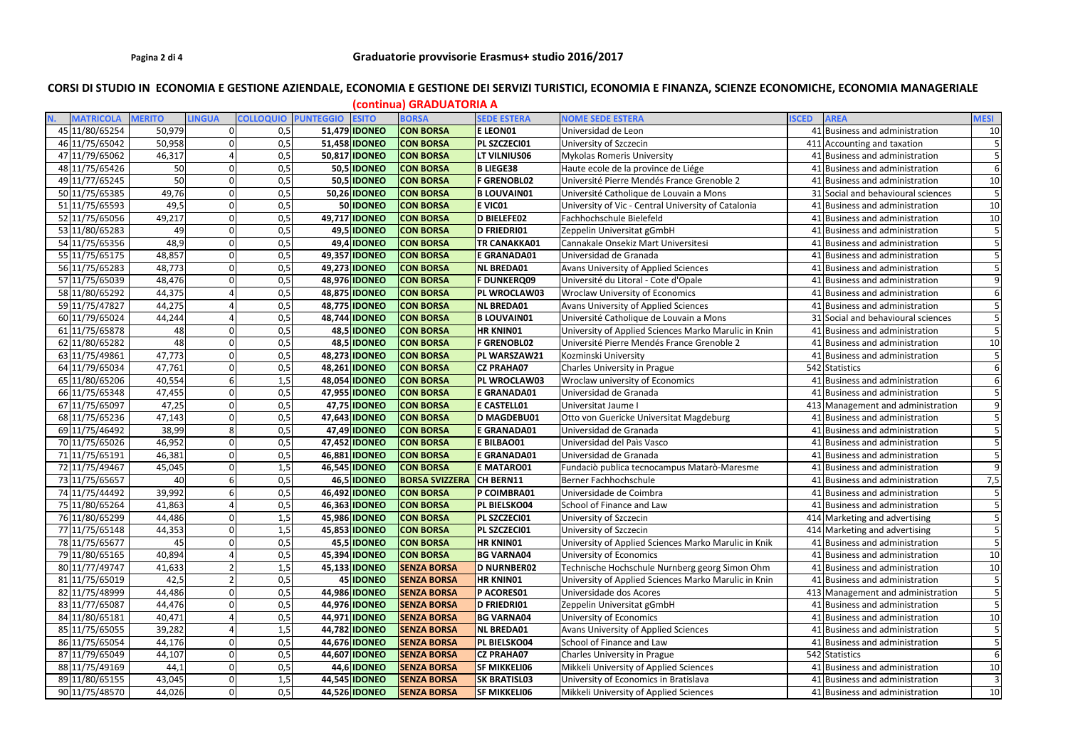# CORSI DI STUDIO IN ECONOMIA E GESTIONE AZIENDALE, ECONOMIA E GESTIONE DEI SERVIZI TURISTICI, ECONOMIA E FINANZA, SCIENZE ECONOMICHE, ECONOMIA MANAGERIALE

| <b>LINGUA</b><br><b>COLLOQUIO PUNTEGGIO</b><br>N.<br><b>MATRICOLA</b><br><b>MERITO</b><br><b>ESITO</b><br><b>BORSA</b><br><b>SEDE ESTERA</b><br><b>NOME SEDE ESTERA</b><br><b>MESI</b><br><b>AREA</b><br><b>ISCED</b><br>45 11/80/65254<br>50,979<br>41 Business and administration<br>0<br>0,5<br>51,479 <b>IDONEO</b><br><b>CON BORSA</b><br><b>ELEON01</b><br>Universidad de Leon<br>46 11/75/65042<br>50,958<br>0,5<br>51,458 <b>IDONEO</b><br><b>CON BORSA</b><br>PL SZCZECI01<br>University of Szczecin<br>411 Accounting and taxation<br>47 11/79/65062<br>46,317<br>0,5<br>50,817 <b>IDONEO</b><br><b>CON BORSA</b><br>LT VILNIUS06<br><b>Mykolas Romeris University</b><br>41 Business and administration<br>50<br>50,5 IDONEO<br>48 11/75/65426<br>0,5<br><b>CON BORSA</b><br><b>B LIEGE38</b><br>Haute ecole de la province de Liége<br>41 Business and administration<br>50<br>Université Pierre Mendés France Grenoble 2<br>49 11/77/65245<br>0,5<br>50,5 IDONEO<br><b>CON BORSA</b><br><b>F GRENOBL02</b><br>41 Business and administration<br>50 11/75/65385<br>49,76<br>0,5<br>50,26 IDONEO<br><b>B LOUVAIN01</b><br><b>CON BORSA</b><br>Université Catholique de Louvain a Mons<br>31 Social and behavioural sciences<br>0,5<br>51 11/75/65593<br>49,5<br>50 IDONEO<br><b>CON BORSA</b><br>E VICO1<br>University of Vic - Central University of Catalonia<br>41 Business and administration<br>49,217<br>0,5<br>49,717 IDONEO<br><b>CON BORSA</b><br>D BIELEFE02<br>Fachhochschule Bielefeld<br>41 Business and administration<br>52 11/75/65056<br>53 11/80/65283<br>49<br>0,5<br>49,5 <b>IDONEO</b><br>D FRIEDRI01<br><b>CON BORSA</b><br>Zeppelin Universitat gGmbH<br>41 Business and administration<br>48,9<br>54 11/75/65356<br>0,5<br>49,4 <b>IDONEO</b><br><b>CON BORSA</b><br><b>TR CANAKKA01</b><br>Cannakale Onsekiz Mart Universitesi<br>41 Business and administration<br>48,857<br>0,5<br>55 11/75/65175<br>49,357 IDONEO<br><b>CON BORSA</b><br><b>E GRANADA01</b><br>Universidad de Granada<br>41 Business and administration<br>56 11/75/65283<br>48,773<br>49,273 IDONEO<br>0,5<br><b>CON BORSA</b><br><b>NL BREDA01</b><br>Avans University of Applied Sciences<br>41 Business and administration<br>48,476<br>0,5<br>48,976 IDONEO<br>57 11/75/65039<br><b>CON BORSA</b><br><b>F DUNKERQ09</b><br>Université du Litoral - Cote d'Opale<br>41 Business and administration<br>58 11/80/65292<br>44,375<br>0,5<br>48,875 IDONEO<br><b>CON BORSA</b><br>PL WROCLAW03<br><b>Wroclaw University of Economics</b><br>41 Business and administration<br>59 11/75/47827<br>44,275<br>48,775 IDONEO<br><b>CON BORSA</b><br>NL BREDA01<br>0,5<br>Avans University of Applied Sciences<br>41 Business and administration<br>44,244<br>0,5<br>48,744 IDONEO<br><b>B LOUVAIN01</b><br>60 11/79/65024<br><b>CON BORSA</b><br>Université Catholique de Louvain a Mons<br>31 Social and behavioural sciences<br>61 11/75/65878<br>48<br>0,5<br>48,5 IDONEO<br><b>CON BORSA</b><br><b>HR KNIN01</b><br>University of Applied Sciences Marko Marulic in Knin<br>41 Business and administration<br>62 11/80/65282<br>48<br>48,5 IDONEO<br>0,5<br><b>CON BORSA</b><br><b>F GRENOBL02</b><br>Université Pierre Mendés France Grenoble 2<br>41 Business and administration<br>63 11/75/49861<br>47,773<br>0,5<br>48,273 IDONEO<br><b>CON BORSA</b><br>PL WARSZAW21<br>41 Business and administration<br>Kozminski University<br>47,761<br>64 11/79/65034<br>0,5<br>48,261 <b>IDONEO</b><br><b>CON BORSA</b><br>542 Statistics<br><b>CZ PRAHA07</b><br>Charles University in Prague<br>65 11/80/65206<br>40,554<br>48,054 IDONEO<br>41 Business and administration<br>1,5<br><b>CON BORSA</b><br>PL WROCLAW03<br>Wroclaw university of Economics<br>66 11/75/65348<br>47,455<br>0,5<br>47,955 IDONEO<br><b>CON BORSA</b><br><b>E GRANADA01</b><br>Universidad de Granada<br>41 Business and administration<br>47,25<br>67 11/75/65097<br>0,5<br>47,75 <b>IDONEO</b><br><b>CON BORSA</b><br><b>E CASTELL01</b><br>Universitat Jaume I<br>413 Management and administration<br>47,143<br>47,643 IDONEO<br>D MAGDEBU01<br>68 11/75/65236<br>0,5<br><b>CON BORSA</b><br>Otto von Guericke Universitat Magdeburg<br>41 Business and administration<br>69 11/75/46492<br>38,99<br>8<br>0,5<br>47,49 <b>IDONEO</b><br><b>E GRANADA01</b><br><b>CON BORSA</b><br>Universidad de Granada<br>41 Business and administration<br>70 11/75/65026<br>46,952<br>0,5<br>47,452 IDONEO<br><b>CON BORSA</b><br><b>E BILBAO01</b><br>Universidad del Paìs Vasco<br>41 Business and administration<br>0,5<br>46,881 <b>IDONEO</b><br><b>CON BORSA</b><br><b>E GRANADA01</b><br>Universidad de Granada<br>71 11/75/65191<br>46,381<br>41 Business and administration<br>72 11/75/49467<br>1,5<br>46,545 IDONEO<br><b>E MATARO01</b><br>45,045<br><b>CON BORSA</b><br>41 Business and administration<br>Fundaciò publica tecnocampus Matarò-Maresme<br>73 11/75/65657<br>40<br>0,5<br>46,5 <b>IDONEO</b><br><b>BORSA SVIZZERA</b><br>CH BERN11<br>Berner Fachhochschule<br>41 Business and administration<br>39,992<br>74 11/75/44492<br>46,492 IDONEO<br><b>CON BORSA</b><br>0,5<br>P COIMBRA01<br>Universidade de Coimbra<br>41 Business and administration<br>75 11/80/65264<br>41,863<br>0,5<br>46,363 <b>IDONEO</b><br><b>CON BORSA</b><br>PL BIELSKO04<br>School of Finance and Law<br>41 Business and administration<br>76 11/80/65299<br>44,486<br>1,5<br>45,986 <b>IDONEO</b><br><b>CON BORSA</b><br>PL SZCZECI01<br>University of Szczecin<br>414 Marketing and advertising<br>77 11/75/65148<br>44,353<br>1,5<br>45,853 IDONEO<br><b>CON BORSA</b><br>PL SZCZECI01<br>University of Szczecin<br>414 Marketing and advertising<br>78 11/75/65677<br>45<br><b>HR KNIN01</b><br>0,5<br>45,5 IDONEO<br><b>CON BORSA</b><br>University of Applied Sciences Marko Marulic in Knik<br>41 Business and administration<br>40,894<br>79 11/80/65165<br>0,5<br>45,394 <b>IDONEO</b><br><b>CON BORSA</b><br><b>BG VARNA04</b><br>University of Economics<br>41 Business and administration<br>80 11/77/49747<br>41,633<br>1,5<br>45,133 IDONEO<br><b>SENZA BORSA</b><br>D NURNBER02<br>Technische Hochschule Nurnberg georg Simon Ohm<br>41 Business and administration<br>81 11/75/65019<br>42,5<br>45 IDONEO<br><b>HR KNINO1</b><br>0,5<br><b>SENZA BORSA</b><br>University of Applied Sciences Marko Marulic in Knin<br>41 Business and administration<br>0,5<br>82 11/75/48999<br>44,486<br>44,986 <b>IDONEO</b><br><b>SENZA BORSA</b><br>P ACORES01<br>413 Management and administration<br>Universidade dos Acores<br>83 11/77/65087<br>44,476<br>0,5<br>44,976 <b>IDONEO</b><br>D FRIEDRI01<br>Zeppelin Universitat gGmbH<br><b>SENZA BORSA</b><br>41 Business and administration<br>84 11/80/65181<br>40,471<br>44,971 <b>IDONEO</b><br><b>BG VARNA04</b><br>0,5<br><b>SENZA BORSA</b><br>University of Economics<br>41 Business and administration<br>39,282<br>44,782 IDONEO<br>85 11/75/65055<br>1,5<br><b>SENZA BORSA</b><br><b>NL BREDA01</b><br>Avans University of Applied Sciences<br>41 Business and administration<br>School of Finance and Law<br>86 11/75/65054<br>0,5<br>44,676 <b>IDONEO</b><br>PL BIELSKO04<br>44,176<br><b>SENZA BORSA</b><br>41 Business and administration<br>87 11/79/65049<br>44,607 <b>IDONEO</b><br><b>CZ PRAHA07</b><br>44,107<br>0,5<br><b>SENZA BORSA</b><br><b>Charles University in Prague</b><br>542 Statistics<br>88 11/75/49169<br>0,5<br>44,6 <b>IDONEO</b><br>44,1<br><b>SENZA BORSA</b><br><b>SF MIKKELI06</b><br>Mikkeli University of Applied Sciences<br>41 Business and administration<br>89 11/80/65155<br>43,045<br>1,5<br>44,545 <b>IDONEO</b><br>University of Economics in Bratislava<br><b>SENZA BORSA</b><br><b>SK BRATISL03</b><br>41 Business and administration | (continua) GRADUATORIA A |        |          |     |  |                      |                    |                     |                                        |                                |                 |
|------------------------------------------------------------------------------------------------------------------------------------------------------------------------------------------------------------------------------------------------------------------------------------------------------------------------------------------------------------------------------------------------------------------------------------------------------------------------------------------------------------------------------------------------------------------------------------------------------------------------------------------------------------------------------------------------------------------------------------------------------------------------------------------------------------------------------------------------------------------------------------------------------------------------------------------------------------------------------------------------------------------------------------------------------------------------------------------------------------------------------------------------------------------------------------------------------------------------------------------------------------------------------------------------------------------------------------------------------------------------------------------------------------------------------------------------------------------------------------------------------------------------------------------------------------------------------------------------------------------------------------------------------------------------------------------------------------------------------------------------------------------------------------------------------------------------------------------------------------------------------------------------------------------------------------------------------------------------------------------------------------------------------------------------------------------------------------------------------------------------------------------------------------------------------------------------------------------------------------------------------------------------------------------------------------------------------------------------------------------------------------------------------------------------------------------------------------------------------------------------------------------------------------------------------------------------------------------------------------------------------------------------------------------------------------------------------------------------------------------------------------------------------------------------------------------------------------------------------------------------------------------------------------------------------------------------------------------------------------------------------------------------------------------------------------------------------------------------------------------------------------------------------------------------------------------------------------------------------------------------------------------------------------------------------------------------------------------------------------------------------------------------------------------------------------------------------------------------------------------------------------------------------------------------------------------------------------------------------------------------------------------------------------------------------------------------------------------------------------------------------------------------------------------------------------------------------------------------------------------------------------------------------------------------------------------------------------------------------------------------------------------------------------------------------------------------------------------------------------------------------------------------------------------------------------------------------------------------------------------------------------------------------------------------------------------------------------------------------------------------------------------------------------------------------------------------------------------------------------------------------------------------------------------------------------------------------------------------------------------------------------------------------------------------------------------------------------------------------------------------------------------------------------------------------------------------------------------------------------------------------------------------------------------------------------------------------------------------------------------------------------------------------------------------------------------------------------------------------------------------------------------------------------------------------------------------------------------------------------------------------------------------------------------------------------------------------------------------------------------------------------------------------------------------------------------------------------------------------------------------------------------------------------------------------------------------------------------------------------------------------------------------------------------------------------------------------------------------------------------------------------------------------------------------------------------------------------------------------------------------------------------------------------------------------------------------------------------------------------------------------------------------------------------------------------------------------------------------------------------------------------------------------------------------------------------------------------------------------------------------------------------------------------------------------------------------------------------------------------------------------------------------------------------------------------------------------------------------------------------------------------------------------------------------------------------------------------------------------------------------------------------------------------------------------------------------------------------------------------------------------------------------------------------------------------------------------------------------------------------------------------------------------------------------------------------------------------------------------------------------------------------------------------------------------------------------------------------------------------------------------------------------------------------------------------------------------------------------------------------------------------------------------------------------------------------------------------------------------------------------------------------------------------------------------------------------------------------------------------------------------------------------------------------------------------------------------------------------------------------------------------------------------------------------------------------------------------------------------------------------------------------------------------------------------------------------------|--------------------------|--------|----------|-----|--|----------------------|--------------------|---------------------|----------------------------------------|--------------------------------|-----------------|
|                                                                                                                                                                                                                                                                                                                                                                                                                                                                                                                                                                                                                                                                                                                                                                                                                                                                                                                                                                                                                                                                                                                                                                                                                                                                                                                                                                                                                                                                                                                                                                                                                                                                                                                                                                                                                                                                                                                                                                                                                                                                                                                                                                                                                                                                                                                                                                                                                                                                                                                                                                                                                                                                                                                                                                                                                                                                                                                                                                                                                                                                                                                                                                                                                                                                                                                                                                                                                                                                                                                                                                                                                                                                                                                                                                                                                                                                                                                                                                                                                                                                                                                                                                                                                                                                                                                                                                                                                                                                                                                                                                                                                                                                                                                                                                                                                                                                                                                                                                                                                                                                                                                                                                                                                                                                                                                                                                                                                                                                                                                                                                                                                                                                                                                                                                                                                                                                                                                                                                                                                                                                                                                                                                                                                                                                                                                                                                                                                                                                                                                                                                                                                                                                                                                                                                                                                                                                                                                                                                                                                                                                                                                                                                                                                                                                                                                                                                                                                                                                                                                                                                                                                                                                                                                                                                                                                              |                          |        |          |     |  |                      |                    |                     |                                        |                                |                 |
|                                                                                                                                                                                                                                                                                                                                                                                                                                                                                                                                                                                                                                                                                                                                                                                                                                                                                                                                                                                                                                                                                                                                                                                                                                                                                                                                                                                                                                                                                                                                                                                                                                                                                                                                                                                                                                                                                                                                                                                                                                                                                                                                                                                                                                                                                                                                                                                                                                                                                                                                                                                                                                                                                                                                                                                                                                                                                                                                                                                                                                                                                                                                                                                                                                                                                                                                                                                                                                                                                                                                                                                                                                                                                                                                                                                                                                                                                                                                                                                                                                                                                                                                                                                                                                                                                                                                                                                                                                                                                                                                                                                                                                                                                                                                                                                                                                                                                                                                                                                                                                                                                                                                                                                                                                                                                                                                                                                                                                                                                                                                                                                                                                                                                                                                                                                                                                                                                                                                                                                                                                                                                                                                                                                                                                                                                                                                                                                                                                                                                                                                                                                                                                                                                                                                                                                                                                                                                                                                                                                                                                                                                                                                                                                                                                                                                                                                                                                                                                                                                                                                                                                                                                                                                                                                                                                                                              |                          |        |          |     |  |                      |                    |                     |                                        |                                | 10              |
|                                                                                                                                                                                                                                                                                                                                                                                                                                                                                                                                                                                                                                                                                                                                                                                                                                                                                                                                                                                                                                                                                                                                                                                                                                                                                                                                                                                                                                                                                                                                                                                                                                                                                                                                                                                                                                                                                                                                                                                                                                                                                                                                                                                                                                                                                                                                                                                                                                                                                                                                                                                                                                                                                                                                                                                                                                                                                                                                                                                                                                                                                                                                                                                                                                                                                                                                                                                                                                                                                                                                                                                                                                                                                                                                                                                                                                                                                                                                                                                                                                                                                                                                                                                                                                                                                                                                                                                                                                                                                                                                                                                                                                                                                                                                                                                                                                                                                                                                                                                                                                                                                                                                                                                                                                                                                                                                                                                                                                                                                                                                                                                                                                                                                                                                                                                                                                                                                                                                                                                                                                                                                                                                                                                                                                                                                                                                                                                                                                                                                                                                                                                                                                                                                                                                                                                                                                                                                                                                                                                                                                                                                                                                                                                                                                                                                                                                                                                                                                                                                                                                                                                                                                                                                                                                                                                                                              |                          |        |          |     |  |                      |                    |                     |                                        |                                |                 |
|                                                                                                                                                                                                                                                                                                                                                                                                                                                                                                                                                                                                                                                                                                                                                                                                                                                                                                                                                                                                                                                                                                                                                                                                                                                                                                                                                                                                                                                                                                                                                                                                                                                                                                                                                                                                                                                                                                                                                                                                                                                                                                                                                                                                                                                                                                                                                                                                                                                                                                                                                                                                                                                                                                                                                                                                                                                                                                                                                                                                                                                                                                                                                                                                                                                                                                                                                                                                                                                                                                                                                                                                                                                                                                                                                                                                                                                                                                                                                                                                                                                                                                                                                                                                                                                                                                                                                                                                                                                                                                                                                                                                                                                                                                                                                                                                                                                                                                                                                                                                                                                                                                                                                                                                                                                                                                                                                                                                                                                                                                                                                                                                                                                                                                                                                                                                                                                                                                                                                                                                                                                                                                                                                                                                                                                                                                                                                                                                                                                                                                                                                                                                                                                                                                                                                                                                                                                                                                                                                                                                                                                                                                                                                                                                                                                                                                                                                                                                                                                                                                                                                                                                                                                                                                                                                                                                                              |                          |        |          |     |  |                      |                    |                     |                                        |                                |                 |
|                                                                                                                                                                                                                                                                                                                                                                                                                                                                                                                                                                                                                                                                                                                                                                                                                                                                                                                                                                                                                                                                                                                                                                                                                                                                                                                                                                                                                                                                                                                                                                                                                                                                                                                                                                                                                                                                                                                                                                                                                                                                                                                                                                                                                                                                                                                                                                                                                                                                                                                                                                                                                                                                                                                                                                                                                                                                                                                                                                                                                                                                                                                                                                                                                                                                                                                                                                                                                                                                                                                                                                                                                                                                                                                                                                                                                                                                                                                                                                                                                                                                                                                                                                                                                                                                                                                                                                                                                                                                                                                                                                                                                                                                                                                                                                                                                                                                                                                                                                                                                                                                                                                                                                                                                                                                                                                                                                                                                                                                                                                                                                                                                                                                                                                                                                                                                                                                                                                                                                                                                                                                                                                                                                                                                                                                                                                                                                                                                                                                                                                                                                                                                                                                                                                                                                                                                                                                                                                                                                                                                                                                                                                                                                                                                                                                                                                                                                                                                                                                                                                                                                                                                                                                                                                                                                                                                              |                          |        |          |     |  |                      |                    |                     |                                        |                                |                 |
|                                                                                                                                                                                                                                                                                                                                                                                                                                                                                                                                                                                                                                                                                                                                                                                                                                                                                                                                                                                                                                                                                                                                                                                                                                                                                                                                                                                                                                                                                                                                                                                                                                                                                                                                                                                                                                                                                                                                                                                                                                                                                                                                                                                                                                                                                                                                                                                                                                                                                                                                                                                                                                                                                                                                                                                                                                                                                                                                                                                                                                                                                                                                                                                                                                                                                                                                                                                                                                                                                                                                                                                                                                                                                                                                                                                                                                                                                                                                                                                                                                                                                                                                                                                                                                                                                                                                                                                                                                                                                                                                                                                                                                                                                                                                                                                                                                                                                                                                                                                                                                                                                                                                                                                                                                                                                                                                                                                                                                                                                                                                                                                                                                                                                                                                                                                                                                                                                                                                                                                                                                                                                                                                                                                                                                                                                                                                                                                                                                                                                                                                                                                                                                                                                                                                                                                                                                                                                                                                                                                                                                                                                                                                                                                                                                                                                                                                                                                                                                                                                                                                                                                                                                                                                                                                                                                                                              |                          |        |          |     |  |                      |                    |                     |                                        |                                | 10              |
|                                                                                                                                                                                                                                                                                                                                                                                                                                                                                                                                                                                                                                                                                                                                                                                                                                                                                                                                                                                                                                                                                                                                                                                                                                                                                                                                                                                                                                                                                                                                                                                                                                                                                                                                                                                                                                                                                                                                                                                                                                                                                                                                                                                                                                                                                                                                                                                                                                                                                                                                                                                                                                                                                                                                                                                                                                                                                                                                                                                                                                                                                                                                                                                                                                                                                                                                                                                                                                                                                                                                                                                                                                                                                                                                                                                                                                                                                                                                                                                                                                                                                                                                                                                                                                                                                                                                                                                                                                                                                                                                                                                                                                                                                                                                                                                                                                                                                                                                                                                                                                                                                                                                                                                                                                                                                                                                                                                                                                                                                                                                                                                                                                                                                                                                                                                                                                                                                                                                                                                                                                                                                                                                                                                                                                                                                                                                                                                                                                                                                                                                                                                                                                                                                                                                                                                                                                                                                                                                                                                                                                                                                                                                                                                                                                                                                                                                                                                                                                                                                                                                                                                                                                                                                                                                                                                                                              |                          |        |          |     |  |                      |                    |                     |                                        |                                |                 |
|                                                                                                                                                                                                                                                                                                                                                                                                                                                                                                                                                                                                                                                                                                                                                                                                                                                                                                                                                                                                                                                                                                                                                                                                                                                                                                                                                                                                                                                                                                                                                                                                                                                                                                                                                                                                                                                                                                                                                                                                                                                                                                                                                                                                                                                                                                                                                                                                                                                                                                                                                                                                                                                                                                                                                                                                                                                                                                                                                                                                                                                                                                                                                                                                                                                                                                                                                                                                                                                                                                                                                                                                                                                                                                                                                                                                                                                                                                                                                                                                                                                                                                                                                                                                                                                                                                                                                                                                                                                                                                                                                                                                                                                                                                                                                                                                                                                                                                                                                                                                                                                                                                                                                                                                                                                                                                                                                                                                                                                                                                                                                                                                                                                                                                                                                                                                                                                                                                                                                                                                                                                                                                                                                                                                                                                                                                                                                                                                                                                                                                                                                                                                                                                                                                                                                                                                                                                                                                                                                                                                                                                                                                                                                                                                                                                                                                                                                                                                                                                                                                                                                                                                                                                                                                                                                                                                                              |                          |        |          |     |  |                      |                    |                     |                                        |                                | 10 <sup>1</sup> |
|                                                                                                                                                                                                                                                                                                                                                                                                                                                                                                                                                                                                                                                                                                                                                                                                                                                                                                                                                                                                                                                                                                                                                                                                                                                                                                                                                                                                                                                                                                                                                                                                                                                                                                                                                                                                                                                                                                                                                                                                                                                                                                                                                                                                                                                                                                                                                                                                                                                                                                                                                                                                                                                                                                                                                                                                                                                                                                                                                                                                                                                                                                                                                                                                                                                                                                                                                                                                                                                                                                                                                                                                                                                                                                                                                                                                                                                                                                                                                                                                                                                                                                                                                                                                                                                                                                                                                                                                                                                                                                                                                                                                                                                                                                                                                                                                                                                                                                                                                                                                                                                                                                                                                                                                                                                                                                                                                                                                                                                                                                                                                                                                                                                                                                                                                                                                                                                                                                                                                                                                                                                                                                                                                                                                                                                                                                                                                                                                                                                                                                                                                                                                                                                                                                                                                                                                                                                                                                                                                                                                                                                                                                                                                                                                                                                                                                                                                                                                                                                                                                                                                                                                                                                                                                                                                                                                                              |                          |        |          |     |  |                      |                    |                     |                                        |                                | 10              |
|                                                                                                                                                                                                                                                                                                                                                                                                                                                                                                                                                                                                                                                                                                                                                                                                                                                                                                                                                                                                                                                                                                                                                                                                                                                                                                                                                                                                                                                                                                                                                                                                                                                                                                                                                                                                                                                                                                                                                                                                                                                                                                                                                                                                                                                                                                                                                                                                                                                                                                                                                                                                                                                                                                                                                                                                                                                                                                                                                                                                                                                                                                                                                                                                                                                                                                                                                                                                                                                                                                                                                                                                                                                                                                                                                                                                                                                                                                                                                                                                                                                                                                                                                                                                                                                                                                                                                                                                                                                                                                                                                                                                                                                                                                                                                                                                                                                                                                                                                                                                                                                                                                                                                                                                                                                                                                                                                                                                                                                                                                                                                                                                                                                                                                                                                                                                                                                                                                                                                                                                                                                                                                                                                                                                                                                                                                                                                                                                                                                                                                                                                                                                                                                                                                                                                                                                                                                                                                                                                                                                                                                                                                                                                                                                                                                                                                                                                                                                                                                                                                                                                                                                                                                                                                                                                                                                                              |                          |        |          |     |  |                      |                    |                     |                                        |                                |                 |
|                                                                                                                                                                                                                                                                                                                                                                                                                                                                                                                                                                                                                                                                                                                                                                                                                                                                                                                                                                                                                                                                                                                                                                                                                                                                                                                                                                                                                                                                                                                                                                                                                                                                                                                                                                                                                                                                                                                                                                                                                                                                                                                                                                                                                                                                                                                                                                                                                                                                                                                                                                                                                                                                                                                                                                                                                                                                                                                                                                                                                                                                                                                                                                                                                                                                                                                                                                                                                                                                                                                                                                                                                                                                                                                                                                                                                                                                                                                                                                                                                                                                                                                                                                                                                                                                                                                                                                                                                                                                                                                                                                                                                                                                                                                                                                                                                                                                                                                                                                                                                                                                                                                                                                                                                                                                                                                                                                                                                                                                                                                                                                                                                                                                                                                                                                                                                                                                                                                                                                                                                                                                                                                                                                                                                                                                                                                                                                                                                                                                                                                                                                                                                                                                                                                                                                                                                                                                                                                                                                                                                                                                                                                                                                                                                                                                                                                                                                                                                                                                                                                                                                                                                                                                                                                                                                                                                              |                          |        |          |     |  |                      |                    |                     |                                        |                                |                 |
|                                                                                                                                                                                                                                                                                                                                                                                                                                                                                                                                                                                                                                                                                                                                                                                                                                                                                                                                                                                                                                                                                                                                                                                                                                                                                                                                                                                                                                                                                                                                                                                                                                                                                                                                                                                                                                                                                                                                                                                                                                                                                                                                                                                                                                                                                                                                                                                                                                                                                                                                                                                                                                                                                                                                                                                                                                                                                                                                                                                                                                                                                                                                                                                                                                                                                                                                                                                                                                                                                                                                                                                                                                                                                                                                                                                                                                                                                                                                                                                                                                                                                                                                                                                                                                                                                                                                                                                                                                                                                                                                                                                                                                                                                                                                                                                                                                                                                                                                                                                                                                                                                                                                                                                                                                                                                                                                                                                                                                                                                                                                                                                                                                                                                                                                                                                                                                                                                                                                                                                                                                                                                                                                                                                                                                                                                                                                                                                                                                                                                                                                                                                                                                                                                                                                                                                                                                                                                                                                                                                                                                                                                                                                                                                                                                                                                                                                                                                                                                                                                                                                                                                                                                                                                                                                                                                                                              |                          |        |          |     |  |                      |                    |                     |                                        |                                |                 |
|                                                                                                                                                                                                                                                                                                                                                                                                                                                                                                                                                                                                                                                                                                                                                                                                                                                                                                                                                                                                                                                                                                                                                                                                                                                                                                                                                                                                                                                                                                                                                                                                                                                                                                                                                                                                                                                                                                                                                                                                                                                                                                                                                                                                                                                                                                                                                                                                                                                                                                                                                                                                                                                                                                                                                                                                                                                                                                                                                                                                                                                                                                                                                                                                                                                                                                                                                                                                                                                                                                                                                                                                                                                                                                                                                                                                                                                                                                                                                                                                                                                                                                                                                                                                                                                                                                                                                                                                                                                                                                                                                                                                                                                                                                                                                                                                                                                                                                                                                                                                                                                                                                                                                                                                                                                                                                                                                                                                                                                                                                                                                                                                                                                                                                                                                                                                                                                                                                                                                                                                                                                                                                                                                                                                                                                                                                                                                                                                                                                                                                                                                                                                                                                                                                                                                                                                                                                                                                                                                                                                                                                                                                                                                                                                                                                                                                                                                                                                                                                                                                                                                                                                                                                                                                                                                                                                                              |                          |        |          |     |  |                      |                    |                     |                                        |                                |                 |
|                                                                                                                                                                                                                                                                                                                                                                                                                                                                                                                                                                                                                                                                                                                                                                                                                                                                                                                                                                                                                                                                                                                                                                                                                                                                                                                                                                                                                                                                                                                                                                                                                                                                                                                                                                                                                                                                                                                                                                                                                                                                                                                                                                                                                                                                                                                                                                                                                                                                                                                                                                                                                                                                                                                                                                                                                                                                                                                                                                                                                                                                                                                                                                                                                                                                                                                                                                                                                                                                                                                                                                                                                                                                                                                                                                                                                                                                                                                                                                                                                                                                                                                                                                                                                                                                                                                                                                                                                                                                                                                                                                                                                                                                                                                                                                                                                                                                                                                                                                                                                                                                                                                                                                                                                                                                                                                                                                                                                                                                                                                                                                                                                                                                                                                                                                                                                                                                                                                                                                                                                                                                                                                                                                                                                                                                                                                                                                                                                                                                                                                                                                                                                                                                                                                                                                                                                                                                                                                                                                                                                                                                                                                                                                                                                                                                                                                                                                                                                                                                                                                                                                                                                                                                                                                                                                                                                              |                          |        |          |     |  |                      |                    |                     |                                        |                                |                 |
|                                                                                                                                                                                                                                                                                                                                                                                                                                                                                                                                                                                                                                                                                                                                                                                                                                                                                                                                                                                                                                                                                                                                                                                                                                                                                                                                                                                                                                                                                                                                                                                                                                                                                                                                                                                                                                                                                                                                                                                                                                                                                                                                                                                                                                                                                                                                                                                                                                                                                                                                                                                                                                                                                                                                                                                                                                                                                                                                                                                                                                                                                                                                                                                                                                                                                                                                                                                                                                                                                                                                                                                                                                                                                                                                                                                                                                                                                                                                                                                                                                                                                                                                                                                                                                                                                                                                                                                                                                                                                                                                                                                                                                                                                                                                                                                                                                                                                                                                                                                                                                                                                                                                                                                                                                                                                                                                                                                                                                                                                                                                                                                                                                                                                                                                                                                                                                                                                                                                                                                                                                                                                                                                                                                                                                                                                                                                                                                                                                                                                                                                                                                                                                                                                                                                                                                                                                                                                                                                                                                                                                                                                                                                                                                                                                                                                                                                                                                                                                                                                                                                                                                                                                                                                                                                                                                                                              |                          |        |          |     |  |                      |                    |                     |                                        |                                |                 |
|                                                                                                                                                                                                                                                                                                                                                                                                                                                                                                                                                                                                                                                                                                                                                                                                                                                                                                                                                                                                                                                                                                                                                                                                                                                                                                                                                                                                                                                                                                                                                                                                                                                                                                                                                                                                                                                                                                                                                                                                                                                                                                                                                                                                                                                                                                                                                                                                                                                                                                                                                                                                                                                                                                                                                                                                                                                                                                                                                                                                                                                                                                                                                                                                                                                                                                                                                                                                                                                                                                                                                                                                                                                                                                                                                                                                                                                                                                                                                                                                                                                                                                                                                                                                                                                                                                                                                                                                                                                                                                                                                                                                                                                                                                                                                                                                                                                                                                                                                                                                                                                                                                                                                                                                                                                                                                                                                                                                                                                                                                                                                                                                                                                                                                                                                                                                                                                                                                                                                                                                                                                                                                                                                                                                                                                                                                                                                                                                                                                                                                                                                                                                                                                                                                                                                                                                                                                                                                                                                                                                                                                                                                                                                                                                                                                                                                                                                                                                                                                                                                                                                                                                                                                                                                                                                                                                                              |                          |        |          |     |  |                      |                    |                     |                                        |                                |                 |
|                                                                                                                                                                                                                                                                                                                                                                                                                                                                                                                                                                                                                                                                                                                                                                                                                                                                                                                                                                                                                                                                                                                                                                                                                                                                                                                                                                                                                                                                                                                                                                                                                                                                                                                                                                                                                                                                                                                                                                                                                                                                                                                                                                                                                                                                                                                                                                                                                                                                                                                                                                                                                                                                                                                                                                                                                                                                                                                                                                                                                                                                                                                                                                                                                                                                                                                                                                                                                                                                                                                                                                                                                                                                                                                                                                                                                                                                                                                                                                                                                                                                                                                                                                                                                                                                                                                                                                                                                                                                                                                                                                                                                                                                                                                                                                                                                                                                                                                                                                                                                                                                                                                                                                                                                                                                                                                                                                                                                                                                                                                                                                                                                                                                                                                                                                                                                                                                                                                                                                                                                                                                                                                                                                                                                                                                                                                                                                                                                                                                                                                                                                                                                                                                                                                                                                                                                                                                                                                                                                                                                                                                                                                                                                                                                                                                                                                                                                                                                                                                                                                                                                                                                                                                                                                                                                                                                              |                          |        |          |     |  |                      |                    |                     |                                        |                                |                 |
|                                                                                                                                                                                                                                                                                                                                                                                                                                                                                                                                                                                                                                                                                                                                                                                                                                                                                                                                                                                                                                                                                                                                                                                                                                                                                                                                                                                                                                                                                                                                                                                                                                                                                                                                                                                                                                                                                                                                                                                                                                                                                                                                                                                                                                                                                                                                                                                                                                                                                                                                                                                                                                                                                                                                                                                                                                                                                                                                                                                                                                                                                                                                                                                                                                                                                                                                                                                                                                                                                                                                                                                                                                                                                                                                                                                                                                                                                                                                                                                                                                                                                                                                                                                                                                                                                                                                                                                                                                                                                                                                                                                                                                                                                                                                                                                                                                                                                                                                                                                                                                                                                                                                                                                                                                                                                                                                                                                                                                                                                                                                                                                                                                                                                                                                                                                                                                                                                                                                                                                                                                                                                                                                                                                                                                                                                                                                                                                                                                                                                                                                                                                                                                                                                                                                                                                                                                                                                                                                                                                                                                                                                                                                                                                                                                                                                                                                                                                                                                                                                                                                                                                                                                                                                                                                                                                                                              |                          |        |          |     |  |                      |                    |                     |                                        |                                |                 |
|                                                                                                                                                                                                                                                                                                                                                                                                                                                                                                                                                                                                                                                                                                                                                                                                                                                                                                                                                                                                                                                                                                                                                                                                                                                                                                                                                                                                                                                                                                                                                                                                                                                                                                                                                                                                                                                                                                                                                                                                                                                                                                                                                                                                                                                                                                                                                                                                                                                                                                                                                                                                                                                                                                                                                                                                                                                                                                                                                                                                                                                                                                                                                                                                                                                                                                                                                                                                                                                                                                                                                                                                                                                                                                                                                                                                                                                                                                                                                                                                                                                                                                                                                                                                                                                                                                                                                                                                                                                                                                                                                                                                                                                                                                                                                                                                                                                                                                                                                                                                                                                                                                                                                                                                                                                                                                                                                                                                                                                                                                                                                                                                                                                                                                                                                                                                                                                                                                                                                                                                                                                                                                                                                                                                                                                                                                                                                                                                                                                                                                                                                                                                                                                                                                                                                                                                                                                                                                                                                                                                                                                                                                                                                                                                                                                                                                                                                                                                                                                                                                                                                                                                                                                                                                                                                                                                                              |                          |        |          |     |  |                      |                    |                     |                                        |                                | 10              |
|                                                                                                                                                                                                                                                                                                                                                                                                                                                                                                                                                                                                                                                                                                                                                                                                                                                                                                                                                                                                                                                                                                                                                                                                                                                                                                                                                                                                                                                                                                                                                                                                                                                                                                                                                                                                                                                                                                                                                                                                                                                                                                                                                                                                                                                                                                                                                                                                                                                                                                                                                                                                                                                                                                                                                                                                                                                                                                                                                                                                                                                                                                                                                                                                                                                                                                                                                                                                                                                                                                                                                                                                                                                                                                                                                                                                                                                                                                                                                                                                                                                                                                                                                                                                                                                                                                                                                                                                                                                                                                                                                                                                                                                                                                                                                                                                                                                                                                                                                                                                                                                                                                                                                                                                                                                                                                                                                                                                                                                                                                                                                                                                                                                                                                                                                                                                                                                                                                                                                                                                                                                                                                                                                                                                                                                                                                                                                                                                                                                                                                                                                                                                                                                                                                                                                                                                                                                                                                                                                                                                                                                                                                                                                                                                                                                                                                                                                                                                                                                                                                                                                                                                                                                                                                                                                                                                                              |                          |        |          |     |  |                      |                    |                     |                                        |                                |                 |
|                                                                                                                                                                                                                                                                                                                                                                                                                                                                                                                                                                                                                                                                                                                                                                                                                                                                                                                                                                                                                                                                                                                                                                                                                                                                                                                                                                                                                                                                                                                                                                                                                                                                                                                                                                                                                                                                                                                                                                                                                                                                                                                                                                                                                                                                                                                                                                                                                                                                                                                                                                                                                                                                                                                                                                                                                                                                                                                                                                                                                                                                                                                                                                                                                                                                                                                                                                                                                                                                                                                                                                                                                                                                                                                                                                                                                                                                                                                                                                                                                                                                                                                                                                                                                                                                                                                                                                                                                                                                                                                                                                                                                                                                                                                                                                                                                                                                                                                                                                                                                                                                                                                                                                                                                                                                                                                                                                                                                                                                                                                                                                                                                                                                                                                                                                                                                                                                                                                                                                                                                                                                                                                                                                                                                                                                                                                                                                                                                                                                                                                                                                                                                                                                                                                                                                                                                                                                                                                                                                                                                                                                                                                                                                                                                                                                                                                                                                                                                                                                                                                                                                                                                                                                                                                                                                                                                              |                          |        |          |     |  |                      |                    |                     |                                        |                                |                 |
|                                                                                                                                                                                                                                                                                                                                                                                                                                                                                                                                                                                                                                                                                                                                                                                                                                                                                                                                                                                                                                                                                                                                                                                                                                                                                                                                                                                                                                                                                                                                                                                                                                                                                                                                                                                                                                                                                                                                                                                                                                                                                                                                                                                                                                                                                                                                                                                                                                                                                                                                                                                                                                                                                                                                                                                                                                                                                                                                                                                                                                                                                                                                                                                                                                                                                                                                                                                                                                                                                                                                                                                                                                                                                                                                                                                                                                                                                                                                                                                                                                                                                                                                                                                                                                                                                                                                                                                                                                                                                                                                                                                                                                                                                                                                                                                                                                                                                                                                                                                                                                                                                                                                                                                                                                                                                                                                                                                                                                                                                                                                                                                                                                                                                                                                                                                                                                                                                                                                                                                                                                                                                                                                                                                                                                                                                                                                                                                                                                                                                                                                                                                                                                                                                                                                                                                                                                                                                                                                                                                                                                                                                                                                                                                                                                                                                                                                                                                                                                                                                                                                                                                                                                                                                                                                                                                                                              |                          |        |          |     |  |                      |                    |                     |                                        |                                |                 |
|                                                                                                                                                                                                                                                                                                                                                                                                                                                                                                                                                                                                                                                                                                                                                                                                                                                                                                                                                                                                                                                                                                                                                                                                                                                                                                                                                                                                                                                                                                                                                                                                                                                                                                                                                                                                                                                                                                                                                                                                                                                                                                                                                                                                                                                                                                                                                                                                                                                                                                                                                                                                                                                                                                                                                                                                                                                                                                                                                                                                                                                                                                                                                                                                                                                                                                                                                                                                                                                                                                                                                                                                                                                                                                                                                                                                                                                                                                                                                                                                                                                                                                                                                                                                                                                                                                                                                                                                                                                                                                                                                                                                                                                                                                                                                                                                                                                                                                                                                                                                                                                                                                                                                                                                                                                                                                                                                                                                                                                                                                                                                                                                                                                                                                                                                                                                                                                                                                                                                                                                                                                                                                                                                                                                                                                                                                                                                                                                                                                                                                                                                                                                                                                                                                                                                                                                                                                                                                                                                                                                                                                                                                                                                                                                                                                                                                                                                                                                                                                                                                                                                                                                                                                                                                                                                                                                                              |                          |        |          |     |  |                      |                    |                     |                                        |                                |                 |
|                                                                                                                                                                                                                                                                                                                                                                                                                                                                                                                                                                                                                                                                                                                                                                                                                                                                                                                                                                                                                                                                                                                                                                                                                                                                                                                                                                                                                                                                                                                                                                                                                                                                                                                                                                                                                                                                                                                                                                                                                                                                                                                                                                                                                                                                                                                                                                                                                                                                                                                                                                                                                                                                                                                                                                                                                                                                                                                                                                                                                                                                                                                                                                                                                                                                                                                                                                                                                                                                                                                                                                                                                                                                                                                                                                                                                                                                                                                                                                                                                                                                                                                                                                                                                                                                                                                                                                                                                                                                                                                                                                                                                                                                                                                                                                                                                                                                                                                                                                                                                                                                                                                                                                                                                                                                                                                                                                                                                                                                                                                                                                                                                                                                                                                                                                                                                                                                                                                                                                                                                                                                                                                                                                                                                                                                                                                                                                                                                                                                                                                                                                                                                                                                                                                                                                                                                                                                                                                                                                                                                                                                                                                                                                                                                                                                                                                                                                                                                                                                                                                                                                                                                                                                                                                                                                                                                              |                          |        |          |     |  |                      |                    |                     |                                        |                                | <b>q</b>        |
|                                                                                                                                                                                                                                                                                                                                                                                                                                                                                                                                                                                                                                                                                                                                                                                                                                                                                                                                                                                                                                                                                                                                                                                                                                                                                                                                                                                                                                                                                                                                                                                                                                                                                                                                                                                                                                                                                                                                                                                                                                                                                                                                                                                                                                                                                                                                                                                                                                                                                                                                                                                                                                                                                                                                                                                                                                                                                                                                                                                                                                                                                                                                                                                                                                                                                                                                                                                                                                                                                                                                                                                                                                                                                                                                                                                                                                                                                                                                                                                                                                                                                                                                                                                                                                                                                                                                                                                                                                                                                                                                                                                                                                                                                                                                                                                                                                                                                                                                                                                                                                                                                                                                                                                                                                                                                                                                                                                                                                                                                                                                                                                                                                                                                                                                                                                                                                                                                                                                                                                                                                                                                                                                                                                                                                                                                                                                                                                                                                                                                                                                                                                                                                                                                                                                                                                                                                                                                                                                                                                                                                                                                                                                                                                                                                                                                                                                                                                                                                                                                                                                                                                                                                                                                                                                                                                                                              |                          |        |          |     |  |                      |                    |                     |                                        |                                |                 |
|                                                                                                                                                                                                                                                                                                                                                                                                                                                                                                                                                                                                                                                                                                                                                                                                                                                                                                                                                                                                                                                                                                                                                                                                                                                                                                                                                                                                                                                                                                                                                                                                                                                                                                                                                                                                                                                                                                                                                                                                                                                                                                                                                                                                                                                                                                                                                                                                                                                                                                                                                                                                                                                                                                                                                                                                                                                                                                                                                                                                                                                                                                                                                                                                                                                                                                                                                                                                                                                                                                                                                                                                                                                                                                                                                                                                                                                                                                                                                                                                                                                                                                                                                                                                                                                                                                                                                                                                                                                                                                                                                                                                                                                                                                                                                                                                                                                                                                                                                                                                                                                                                                                                                                                                                                                                                                                                                                                                                                                                                                                                                                                                                                                                                                                                                                                                                                                                                                                                                                                                                                                                                                                                                                                                                                                                                                                                                                                                                                                                                                                                                                                                                                                                                                                                                                                                                                                                                                                                                                                                                                                                                                                                                                                                                                                                                                                                                                                                                                                                                                                                                                                                                                                                                                                                                                                                                              |                          |        |          |     |  |                      |                    |                     |                                        |                                |                 |
|                                                                                                                                                                                                                                                                                                                                                                                                                                                                                                                                                                                                                                                                                                                                                                                                                                                                                                                                                                                                                                                                                                                                                                                                                                                                                                                                                                                                                                                                                                                                                                                                                                                                                                                                                                                                                                                                                                                                                                                                                                                                                                                                                                                                                                                                                                                                                                                                                                                                                                                                                                                                                                                                                                                                                                                                                                                                                                                                                                                                                                                                                                                                                                                                                                                                                                                                                                                                                                                                                                                                                                                                                                                                                                                                                                                                                                                                                                                                                                                                                                                                                                                                                                                                                                                                                                                                                                                                                                                                                                                                                                                                                                                                                                                                                                                                                                                                                                                                                                                                                                                                                                                                                                                                                                                                                                                                                                                                                                                                                                                                                                                                                                                                                                                                                                                                                                                                                                                                                                                                                                                                                                                                                                                                                                                                                                                                                                                                                                                                                                                                                                                                                                                                                                                                                                                                                                                                                                                                                                                                                                                                                                                                                                                                                                                                                                                                                                                                                                                                                                                                                                                                                                                                                                                                                                                                                              |                          |        |          |     |  |                      |                    |                     |                                        |                                |                 |
|                                                                                                                                                                                                                                                                                                                                                                                                                                                                                                                                                                                                                                                                                                                                                                                                                                                                                                                                                                                                                                                                                                                                                                                                                                                                                                                                                                                                                                                                                                                                                                                                                                                                                                                                                                                                                                                                                                                                                                                                                                                                                                                                                                                                                                                                                                                                                                                                                                                                                                                                                                                                                                                                                                                                                                                                                                                                                                                                                                                                                                                                                                                                                                                                                                                                                                                                                                                                                                                                                                                                                                                                                                                                                                                                                                                                                                                                                                                                                                                                                                                                                                                                                                                                                                                                                                                                                                                                                                                                                                                                                                                                                                                                                                                                                                                                                                                                                                                                                                                                                                                                                                                                                                                                                                                                                                                                                                                                                                                                                                                                                                                                                                                                                                                                                                                                                                                                                                                                                                                                                                                                                                                                                                                                                                                                                                                                                                                                                                                                                                                                                                                                                                                                                                                                                                                                                                                                                                                                                                                                                                                                                                                                                                                                                                                                                                                                                                                                                                                                                                                                                                                                                                                                                                                                                                                                                              |                          |        |          |     |  |                      |                    |                     |                                        |                                |                 |
|                                                                                                                                                                                                                                                                                                                                                                                                                                                                                                                                                                                                                                                                                                                                                                                                                                                                                                                                                                                                                                                                                                                                                                                                                                                                                                                                                                                                                                                                                                                                                                                                                                                                                                                                                                                                                                                                                                                                                                                                                                                                                                                                                                                                                                                                                                                                                                                                                                                                                                                                                                                                                                                                                                                                                                                                                                                                                                                                                                                                                                                                                                                                                                                                                                                                                                                                                                                                                                                                                                                                                                                                                                                                                                                                                                                                                                                                                                                                                                                                                                                                                                                                                                                                                                                                                                                                                                                                                                                                                                                                                                                                                                                                                                                                                                                                                                                                                                                                                                                                                                                                                                                                                                                                                                                                                                                                                                                                                                                                                                                                                                                                                                                                                                                                                                                                                                                                                                                                                                                                                                                                                                                                                                                                                                                                                                                                                                                                                                                                                                                                                                                                                                                                                                                                                                                                                                                                                                                                                                                                                                                                                                                                                                                                                                                                                                                                                                                                                                                                                                                                                                                                                                                                                                                                                                                                                              |                          |        |          |     |  |                      |                    |                     |                                        |                                |                 |
|                                                                                                                                                                                                                                                                                                                                                                                                                                                                                                                                                                                                                                                                                                                                                                                                                                                                                                                                                                                                                                                                                                                                                                                                                                                                                                                                                                                                                                                                                                                                                                                                                                                                                                                                                                                                                                                                                                                                                                                                                                                                                                                                                                                                                                                                                                                                                                                                                                                                                                                                                                                                                                                                                                                                                                                                                                                                                                                                                                                                                                                                                                                                                                                                                                                                                                                                                                                                                                                                                                                                                                                                                                                                                                                                                                                                                                                                                                                                                                                                                                                                                                                                                                                                                                                                                                                                                                                                                                                                                                                                                                                                                                                                                                                                                                                                                                                                                                                                                                                                                                                                                                                                                                                                                                                                                                                                                                                                                                                                                                                                                                                                                                                                                                                                                                                                                                                                                                                                                                                                                                                                                                                                                                                                                                                                                                                                                                                                                                                                                                                                                                                                                                                                                                                                                                                                                                                                                                                                                                                                                                                                                                                                                                                                                                                                                                                                                                                                                                                                                                                                                                                                                                                                                                                                                                                                                              |                          |        |          |     |  |                      |                    |                     |                                        |                                | 7,5             |
|                                                                                                                                                                                                                                                                                                                                                                                                                                                                                                                                                                                                                                                                                                                                                                                                                                                                                                                                                                                                                                                                                                                                                                                                                                                                                                                                                                                                                                                                                                                                                                                                                                                                                                                                                                                                                                                                                                                                                                                                                                                                                                                                                                                                                                                                                                                                                                                                                                                                                                                                                                                                                                                                                                                                                                                                                                                                                                                                                                                                                                                                                                                                                                                                                                                                                                                                                                                                                                                                                                                                                                                                                                                                                                                                                                                                                                                                                                                                                                                                                                                                                                                                                                                                                                                                                                                                                                                                                                                                                                                                                                                                                                                                                                                                                                                                                                                                                                                                                                                                                                                                                                                                                                                                                                                                                                                                                                                                                                                                                                                                                                                                                                                                                                                                                                                                                                                                                                                                                                                                                                                                                                                                                                                                                                                                                                                                                                                                                                                                                                                                                                                                                                                                                                                                                                                                                                                                                                                                                                                                                                                                                                                                                                                                                                                                                                                                                                                                                                                                                                                                                                                                                                                                                                                                                                                                                              |                          |        |          |     |  |                      |                    |                     |                                        |                                |                 |
|                                                                                                                                                                                                                                                                                                                                                                                                                                                                                                                                                                                                                                                                                                                                                                                                                                                                                                                                                                                                                                                                                                                                                                                                                                                                                                                                                                                                                                                                                                                                                                                                                                                                                                                                                                                                                                                                                                                                                                                                                                                                                                                                                                                                                                                                                                                                                                                                                                                                                                                                                                                                                                                                                                                                                                                                                                                                                                                                                                                                                                                                                                                                                                                                                                                                                                                                                                                                                                                                                                                                                                                                                                                                                                                                                                                                                                                                                                                                                                                                                                                                                                                                                                                                                                                                                                                                                                                                                                                                                                                                                                                                                                                                                                                                                                                                                                                                                                                                                                                                                                                                                                                                                                                                                                                                                                                                                                                                                                                                                                                                                                                                                                                                                                                                                                                                                                                                                                                                                                                                                                                                                                                                                                                                                                                                                                                                                                                                                                                                                                                                                                                                                                                                                                                                                                                                                                                                                                                                                                                                                                                                                                                                                                                                                                                                                                                                                                                                                                                                                                                                                                                                                                                                                                                                                                                                                              |                          |        |          |     |  |                      |                    |                     |                                        |                                |                 |
|                                                                                                                                                                                                                                                                                                                                                                                                                                                                                                                                                                                                                                                                                                                                                                                                                                                                                                                                                                                                                                                                                                                                                                                                                                                                                                                                                                                                                                                                                                                                                                                                                                                                                                                                                                                                                                                                                                                                                                                                                                                                                                                                                                                                                                                                                                                                                                                                                                                                                                                                                                                                                                                                                                                                                                                                                                                                                                                                                                                                                                                                                                                                                                                                                                                                                                                                                                                                                                                                                                                                                                                                                                                                                                                                                                                                                                                                                                                                                                                                                                                                                                                                                                                                                                                                                                                                                                                                                                                                                                                                                                                                                                                                                                                                                                                                                                                                                                                                                                                                                                                                                                                                                                                                                                                                                                                                                                                                                                                                                                                                                                                                                                                                                                                                                                                                                                                                                                                                                                                                                                                                                                                                                                                                                                                                                                                                                                                                                                                                                                                                                                                                                                                                                                                                                                                                                                                                                                                                                                                                                                                                                                                                                                                                                                                                                                                                                                                                                                                                                                                                                                                                                                                                                                                                                                                                                              |                          |        |          |     |  |                      |                    |                     |                                        |                                |                 |
|                                                                                                                                                                                                                                                                                                                                                                                                                                                                                                                                                                                                                                                                                                                                                                                                                                                                                                                                                                                                                                                                                                                                                                                                                                                                                                                                                                                                                                                                                                                                                                                                                                                                                                                                                                                                                                                                                                                                                                                                                                                                                                                                                                                                                                                                                                                                                                                                                                                                                                                                                                                                                                                                                                                                                                                                                                                                                                                                                                                                                                                                                                                                                                                                                                                                                                                                                                                                                                                                                                                                                                                                                                                                                                                                                                                                                                                                                                                                                                                                                                                                                                                                                                                                                                                                                                                                                                                                                                                                                                                                                                                                                                                                                                                                                                                                                                                                                                                                                                                                                                                                                                                                                                                                                                                                                                                                                                                                                                                                                                                                                                                                                                                                                                                                                                                                                                                                                                                                                                                                                                                                                                                                                                                                                                                                                                                                                                                                                                                                                                                                                                                                                                                                                                                                                                                                                                                                                                                                                                                                                                                                                                                                                                                                                                                                                                                                                                                                                                                                                                                                                                                                                                                                                                                                                                                                                              |                          |        |          |     |  |                      |                    |                     |                                        |                                |                 |
|                                                                                                                                                                                                                                                                                                                                                                                                                                                                                                                                                                                                                                                                                                                                                                                                                                                                                                                                                                                                                                                                                                                                                                                                                                                                                                                                                                                                                                                                                                                                                                                                                                                                                                                                                                                                                                                                                                                                                                                                                                                                                                                                                                                                                                                                                                                                                                                                                                                                                                                                                                                                                                                                                                                                                                                                                                                                                                                                                                                                                                                                                                                                                                                                                                                                                                                                                                                                                                                                                                                                                                                                                                                                                                                                                                                                                                                                                                                                                                                                                                                                                                                                                                                                                                                                                                                                                                                                                                                                                                                                                                                                                                                                                                                                                                                                                                                                                                                                                                                                                                                                                                                                                                                                                                                                                                                                                                                                                                                                                                                                                                                                                                                                                                                                                                                                                                                                                                                                                                                                                                                                                                                                                                                                                                                                                                                                                                                                                                                                                                                                                                                                                                                                                                                                                                                                                                                                                                                                                                                                                                                                                                                                                                                                                                                                                                                                                                                                                                                                                                                                                                                                                                                                                                                                                                                                                              |                          |        |          |     |  |                      |                    |                     |                                        |                                |                 |
|                                                                                                                                                                                                                                                                                                                                                                                                                                                                                                                                                                                                                                                                                                                                                                                                                                                                                                                                                                                                                                                                                                                                                                                                                                                                                                                                                                                                                                                                                                                                                                                                                                                                                                                                                                                                                                                                                                                                                                                                                                                                                                                                                                                                                                                                                                                                                                                                                                                                                                                                                                                                                                                                                                                                                                                                                                                                                                                                                                                                                                                                                                                                                                                                                                                                                                                                                                                                                                                                                                                                                                                                                                                                                                                                                                                                                                                                                                                                                                                                                                                                                                                                                                                                                                                                                                                                                                                                                                                                                                                                                                                                                                                                                                                                                                                                                                                                                                                                                                                                                                                                                                                                                                                                                                                                                                                                                                                                                                                                                                                                                                                                                                                                                                                                                                                                                                                                                                                                                                                                                                                                                                                                                                                                                                                                                                                                                                                                                                                                                                                                                                                                                                                                                                                                                                                                                                                                                                                                                                                                                                                                                                                                                                                                                                                                                                                                                                                                                                                                                                                                                                                                                                                                                                                                                                                                                              |                          |        |          |     |  |                      |                    |                     |                                        |                                | 10              |
|                                                                                                                                                                                                                                                                                                                                                                                                                                                                                                                                                                                                                                                                                                                                                                                                                                                                                                                                                                                                                                                                                                                                                                                                                                                                                                                                                                                                                                                                                                                                                                                                                                                                                                                                                                                                                                                                                                                                                                                                                                                                                                                                                                                                                                                                                                                                                                                                                                                                                                                                                                                                                                                                                                                                                                                                                                                                                                                                                                                                                                                                                                                                                                                                                                                                                                                                                                                                                                                                                                                                                                                                                                                                                                                                                                                                                                                                                                                                                                                                                                                                                                                                                                                                                                                                                                                                                                                                                                                                                                                                                                                                                                                                                                                                                                                                                                                                                                                                                                                                                                                                                                                                                                                                                                                                                                                                                                                                                                                                                                                                                                                                                                                                                                                                                                                                                                                                                                                                                                                                                                                                                                                                                                                                                                                                                                                                                                                                                                                                                                                                                                                                                                                                                                                                                                                                                                                                                                                                                                                                                                                                                                                                                                                                                                                                                                                                                                                                                                                                                                                                                                                                                                                                                                                                                                                                                              |                          |        |          |     |  |                      |                    |                     |                                        |                                | 10              |
|                                                                                                                                                                                                                                                                                                                                                                                                                                                                                                                                                                                                                                                                                                                                                                                                                                                                                                                                                                                                                                                                                                                                                                                                                                                                                                                                                                                                                                                                                                                                                                                                                                                                                                                                                                                                                                                                                                                                                                                                                                                                                                                                                                                                                                                                                                                                                                                                                                                                                                                                                                                                                                                                                                                                                                                                                                                                                                                                                                                                                                                                                                                                                                                                                                                                                                                                                                                                                                                                                                                                                                                                                                                                                                                                                                                                                                                                                                                                                                                                                                                                                                                                                                                                                                                                                                                                                                                                                                                                                                                                                                                                                                                                                                                                                                                                                                                                                                                                                                                                                                                                                                                                                                                                                                                                                                                                                                                                                                                                                                                                                                                                                                                                                                                                                                                                                                                                                                                                                                                                                                                                                                                                                                                                                                                                                                                                                                                                                                                                                                                                                                                                                                                                                                                                                                                                                                                                                                                                                                                                                                                                                                                                                                                                                                                                                                                                                                                                                                                                                                                                                                                                                                                                                                                                                                                                                              |                          |        |          |     |  |                      |                    |                     |                                        |                                |                 |
|                                                                                                                                                                                                                                                                                                                                                                                                                                                                                                                                                                                                                                                                                                                                                                                                                                                                                                                                                                                                                                                                                                                                                                                                                                                                                                                                                                                                                                                                                                                                                                                                                                                                                                                                                                                                                                                                                                                                                                                                                                                                                                                                                                                                                                                                                                                                                                                                                                                                                                                                                                                                                                                                                                                                                                                                                                                                                                                                                                                                                                                                                                                                                                                                                                                                                                                                                                                                                                                                                                                                                                                                                                                                                                                                                                                                                                                                                                                                                                                                                                                                                                                                                                                                                                                                                                                                                                                                                                                                                                                                                                                                                                                                                                                                                                                                                                                                                                                                                                                                                                                                                                                                                                                                                                                                                                                                                                                                                                                                                                                                                                                                                                                                                                                                                                                                                                                                                                                                                                                                                                                                                                                                                                                                                                                                                                                                                                                                                                                                                                                                                                                                                                                                                                                                                                                                                                                                                                                                                                                                                                                                                                                                                                                                                                                                                                                                                                                                                                                                                                                                                                                                                                                                                                                                                                                                                              |                          |        |          |     |  |                      |                    |                     |                                        |                                |                 |
|                                                                                                                                                                                                                                                                                                                                                                                                                                                                                                                                                                                                                                                                                                                                                                                                                                                                                                                                                                                                                                                                                                                                                                                                                                                                                                                                                                                                                                                                                                                                                                                                                                                                                                                                                                                                                                                                                                                                                                                                                                                                                                                                                                                                                                                                                                                                                                                                                                                                                                                                                                                                                                                                                                                                                                                                                                                                                                                                                                                                                                                                                                                                                                                                                                                                                                                                                                                                                                                                                                                                                                                                                                                                                                                                                                                                                                                                                                                                                                                                                                                                                                                                                                                                                                                                                                                                                                                                                                                                                                                                                                                                                                                                                                                                                                                                                                                                                                                                                                                                                                                                                                                                                                                                                                                                                                                                                                                                                                                                                                                                                                                                                                                                                                                                                                                                                                                                                                                                                                                                                                                                                                                                                                                                                                                                                                                                                                                                                                                                                                                                                                                                                                                                                                                                                                                                                                                                                                                                                                                                                                                                                                                                                                                                                                                                                                                                                                                                                                                                                                                                                                                                                                                                                                                                                                                                                              |                          |        |          |     |  |                      |                    |                     |                                        |                                |                 |
|                                                                                                                                                                                                                                                                                                                                                                                                                                                                                                                                                                                                                                                                                                                                                                                                                                                                                                                                                                                                                                                                                                                                                                                                                                                                                                                                                                                                                                                                                                                                                                                                                                                                                                                                                                                                                                                                                                                                                                                                                                                                                                                                                                                                                                                                                                                                                                                                                                                                                                                                                                                                                                                                                                                                                                                                                                                                                                                                                                                                                                                                                                                                                                                                                                                                                                                                                                                                                                                                                                                                                                                                                                                                                                                                                                                                                                                                                                                                                                                                                                                                                                                                                                                                                                                                                                                                                                                                                                                                                                                                                                                                                                                                                                                                                                                                                                                                                                                                                                                                                                                                                                                                                                                                                                                                                                                                                                                                                                                                                                                                                                                                                                                                                                                                                                                                                                                                                                                                                                                                                                                                                                                                                                                                                                                                                                                                                                                                                                                                                                                                                                                                                                                                                                                                                                                                                                                                                                                                                                                                                                                                                                                                                                                                                                                                                                                                                                                                                                                                                                                                                                                                                                                                                                                                                                                                                              |                          |        |          |     |  |                      |                    |                     |                                        |                                | 10              |
|                                                                                                                                                                                                                                                                                                                                                                                                                                                                                                                                                                                                                                                                                                                                                                                                                                                                                                                                                                                                                                                                                                                                                                                                                                                                                                                                                                                                                                                                                                                                                                                                                                                                                                                                                                                                                                                                                                                                                                                                                                                                                                                                                                                                                                                                                                                                                                                                                                                                                                                                                                                                                                                                                                                                                                                                                                                                                                                                                                                                                                                                                                                                                                                                                                                                                                                                                                                                                                                                                                                                                                                                                                                                                                                                                                                                                                                                                                                                                                                                                                                                                                                                                                                                                                                                                                                                                                                                                                                                                                                                                                                                                                                                                                                                                                                                                                                                                                                                                                                                                                                                                                                                                                                                                                                                                                                                                                                                                                                                                                                                                                                                                                                                                                                                                                                                                                                                                                                                                                                                                                                                                                                                                                                                                                                                                                                                                                                                                                                                                                                                                                                                                                                                                                                                                                                                                                                                                                                                                                                                                                                                                                                                                                                                                                                                                                                                                                                                                                                                                                                                                                                                                                                                                                                                                                                                                              |                          |        |          |     |  |                      |                    |                     |                                        |                                |                 |
|                                                                                                                                                                                                                                                                                                                                                                                                                                                                                                                                                                                                                                                                                                                                                                                                                                                                                                                                                                                                                                                                                                                                                                                                                                                                                                                                                                                                                                                                                                                                                                                                                                                                                                                                                                                                                                                                                                                                                                                                                                                                                                                                                                                                                                                                                                                                                                                                                                                                                                                                                                                                                                                                                                                                                                                                                                                                                                                                                                                                                                                                                                                                                                                                                                                                                                                                                                                                                                                                                                                                                                                                                                                                                                                                                                                                                                                                                                                                                                                                                                                                                                                                                                                                                                                                                                                                                                                                                                                                                                                                                                                                                                                                                                                                                                                                                                                                                                                                                                                                                                                                                                                                                                                                                                                                                                                                                                                                                                                                                                                                                                                                                                                                                                                                                                                                                                                                                                                                                                                                                                                                                                                                                                                                                                                                                                                                                                                                                                                                                                                                                                                                                                                                                                                                                                                                                                                                                                                                                                                                                                                                                                                                                                                                                                                                                                                                                                                                                                                                                                                                                                                                                                                                                                                                                                                                                              |                          |        |          |     |  |                      |                    |                     |                                        |                                |                 |
|                                                                                                                                                                                                                                                                                                                                                                                                                                                                                                                                                                                                                                                                                                                                                                                                                                                                                                                                                                                                                                                                                                                                                                                                                                                                                                                                                                                                                                                                                                                                                                                                                                                                                                                                                                                                                                                                                                                                                                                                                                                                                                                                                                                                                                                                                                                                                                                                                                                                                                                                                                                                                                                                                                                                                                                                                                                                                                                                                                                                                                                                                                                                                                                                                                                                                                                                                                                                                                                                                                                                                                                                                                                                                                                                                                                                                                                                                                                                                                                                                                                                                                                                                                                                                                                                                                                                                                                                                                                                                                                                                                                                                                                                                                                                                                                                                                                                                                                                                                                                                                                                                                                                                                                                                                                                                                                                                                                                                                                                                                                                                                                                                                                                                                                                                                                                                                                                                                                                                                                                                                                                                                                                                                                                                                                                                                                                                                                                                                                                                                                                                                                                                                                                                                                                                                                                                                                                                                                                                                                                                                                                                                                                                                                                                                                                                                                                                                                                                                                                                                                                                                                                                                                                                                                                                                                                                              |                          |        |          |     |  |                      |                    |                     |                                        |                                | 6               |
|                                                                                                                                                                                                                                                                                                                                                                                                                                                                                                                                                                                                                                                                                                                                                                                                                                                                                                                                                                                                                                                                                                                                                                                                                                                                                                                                                                                                                                                                                                                                                                                                                                                                                                                                                                                                                                                                                                                                                                                                                                                                                                                                                                                                                                                                                                                                                                                                                                                                                                                                                                                                                                                                                                                                                                                                                                                                                                                                                                                                                                                                                                                                                                                                                                                                                                                                                                                                                                                                                                                                                                                                                                                                                                                                                                                                                                                                                                                                                                                                                                                                                                                                                                                                                                                                                                                                                                                                                                                                                                                                                                                                                                                                                                                                                                                                                                                                                                                                                                                                                                                                                                                                                                                                                                                                                                                                                                                                                                                                                                                                                                                                                                                                                                                                                                                                                                                                                                                                                                                                                                                                                                                                                                                                                                                                                                                                                                                                                                                                                                                                                                                                                                                                                                                                                                                                                                                                                                                                                                                                                                                                                                                                                                                                                                                                                                                                                                                                                                                                                                                                                                                                                                                                                                                                                                                                                              |                          |        |          |     |  |                      |                    |                     |                                        |                                | 10              |
|                                                                                                                                                                                                                                                                                                                                                                                                                                                                                                                                                                                                                                                                                                                                                                                                                                                                                                                                                                                                                                                                                                                                                                                                                                                                                                                                                                                                                                                                                                                                                                                                                                                                                                                                                                                                                                                                                                                                                                                                                                                                                                                                                                                                                                                                                                                                                                                                                                                                                                                                                                                                                                                                                                                                                                                                                                                                                                                                                                                                                                                                                                                                                                                                                                                                                                                                                                                                                                                                                                                                                                                                                                                                                                                                                                                                                                                                                                                                                                                                                                                                                                                                                                                                                                                                                                                                                                                                                                                                                                                                                                                                                                                                                                                                                                                                                                                                                                                                                                                                                                                                                                                                                                                                                                                                                                                                                                                                                                                                                                                                                                                                                                                                                                                                                                                                                                                                                                                                                                                                                                                                                                                                                                                                                                                                                                                                                                                                                                                                                                                                                                                                                                                                                                                                                                                                                                                                                                                                                                                                                                                                                                                                                                                                                                                                                                                                                                                                                                                                                                                                                                                                                                                                                                                                                                                                                              |                          |        |          |     |  |                      |                    |                     |                                        |                                | 3               |
|                                                                                                                                                                                                                                                                                                                                                                                                                                                                                                                                                                                                                                                                                                                                                                                                                                                                                                                                                                                                                                                                                                                                                                                                                                                                                                                                                                                                                                                                                                                                                                                                                                                                                                                                                                                                                                                                                                                                                                                                                                                                                                                                                                                                                                                                                                                                                                                                                                                                                                                                                                                                                                                                                                                                                                                                                                                                                                                                                                                                                                                                                                                                                                                                                                                                                                                                                                                                                                                                                                                                                                                                                                                                                                                                                                                                                                                                                                                                                                                                                                                                                                                                                                                                                                                                                                                                                                                                                                                                                                                                                                                                                                                                                                                                                                                                                                                                                                                                                                                                                                                                                                                                                                                                                                                                                                                                                                                                                                                                                                                                                                                                                                                                                                                                                                                                                                                                                                                                                                                                                                                                                                                                                                                                                                                                                                                                                                                                                                                                                                                                                                                                                                                                                                                                                                                                                                                                                                                                                                                                                                                                                                                                                                                                                                                                                                                                                                                                                                                                                                                                                                                                                                                                                                                                                                                                                              | 90 11/75/48570           | 44,026 | $\Omega$ | 0,5 |  | 44,526 <b>IDONEO</b> | <b>SENZA BORSA</b> | <b>SF MIKKELI06</b> | Mikkeli University of Applied Sciences | 41 Business and administration | 10              |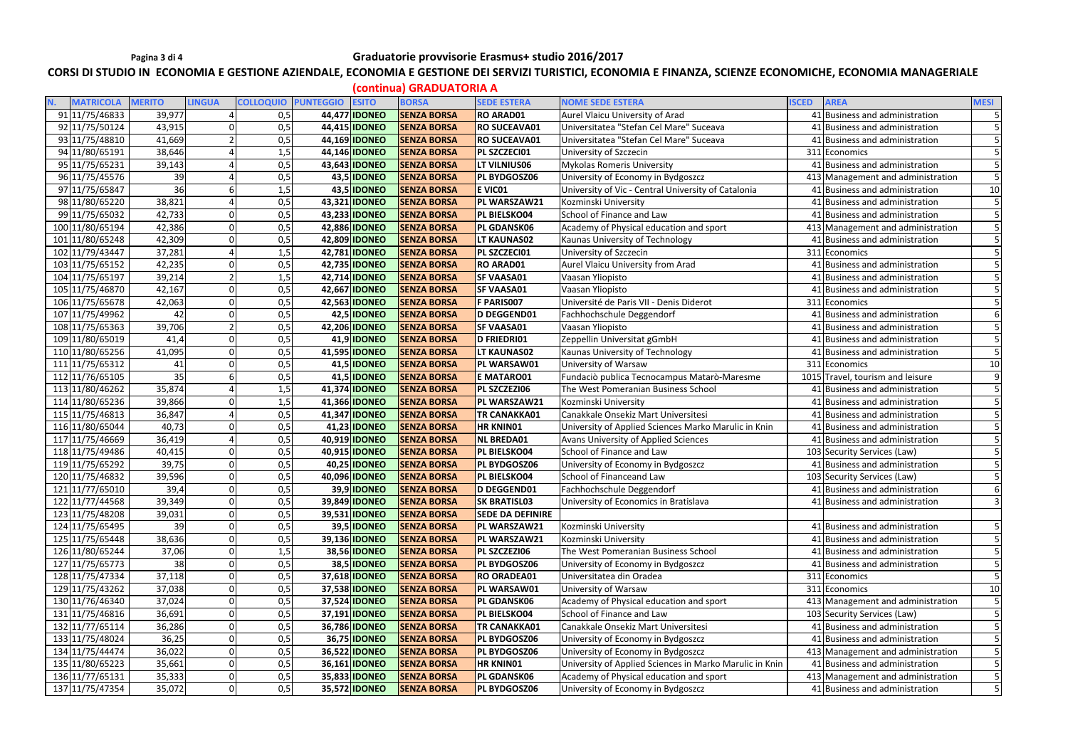### Pagina 3 di 4 **Canadia Eleccio Controller Studio** Graduatorie provvisorie Erasmus+ studio 2016/2017

### CORSI DI STUDIO IN ECONOMIA E GESTIONE AZIENDALE, ECONOMIA E GESTIONE DEI SERVIZI TURISTICI, ECONOMIA E FINANZA, SCIENZE ECONOMICHE, ECONOMIA MANAGERIALE

**(continua) GRADUATORIA A** 

|                  |               |                |                            |                      | $19911$ , $191191$ , $191019$ , $19111$ , $1111$ |                         |                                                         |                                   |                |
|------------------|---------------|----------------|----------------------------|----------------------|--------------------------------------------------|-------------------------|---------------------------------------------------------|-----------------------------------|----------------|
| <b>MATRICOLA</b> | <b>MERITO</b> | <b>LINGUA</b>  | <b>COLLOQUIO PUNTEGGIO</b> | <b>ESITO</b>         | <b>BORSA</b>                                     | <b>SEDE ESTERA</b>      | <b>NOME SEDE ESTERA</b>                                 | <b>AREA</b><br><b>ISCED</b>       | <b>MESI</b>    |
| 91 11/75/46833   | 39,977        |                | 0,5                        | 44,477 IDONEO        | <b>SENZA BORSA</b>                               | <b>RO ARAD01</b>        | Aurel Vlaicu University of Arad                         | 41 Business and administration    |                |
| 92 11/75/50124   | 43,915        |                | 0,5                        | 44,415 <b>IDONEO</b> | <b>SENZA BORSA</b>                               | <b>RO SUCEAVA01</b>     | Universitatea "Stefan Cel Mare" Suceava                 | 41 Business and administration    |                |
| 93 11/75/48810   | 41,669        |                | 0,5                        | 44,169 IDONEO        | <b>SENZA BORSA</b>                               | <b>RO SUCEAVA01</b>     | Universitatea "Stefan Cel Mare" Suceava                 | 41 Business and administration    |                |
| 94 11/80/65191   | 38,646        |                | 1,5                        | 44,146 <b>IDONEO</b> | <b>SENZA BORSA</b>                               | PL SZCZECI01            | University of Szczecin                                  | 311 Economics                     |                |
| 95 11/75/65231   | 39,143        |                | 0,5                        | 43,643 IDONEO        | <b>SENZA BORSA</b>                               | <b>LT VILNIUS06</b>     | <b>Mykolas Romeris University</b>                       | 41 Business and administration    |                |
| 96 11/75/45576   | 39            |                | 0,5                        | 43,5 IDONEO          | <b>SENZA BORSA</b>                               | <b>PL BYDGOSZ06</b>     | University of Economy in Bydgoszcz                      | 413 Management and administration |                |
| 97 11/75/65847   | 36            | 6              | 1,5                        | 43,5 IDONEO          | <b>SENZA BORSA</b>                               | E VICO1                 | University of Vic - Central University of Catalonia     | 41 Business and administration    | 10             |
| 98 11/80/65220   | 38,821        |                | 0,5                        | 43,321 IDONEO        | <b>SENZA BORSA</b>                               | PL WARSZAW21            | Kozminski University                                    | 41 Business and administration    |                |
| 99 11/75/65032   | 42,733        | $\overline{0}$ | 0,5                        | 43,233 IDONEO        | <b>SENZA BORSA</b>                               | PL BIELSKO04            | School of Finance and Law                               | 41 Business and administration    |                |
| 100 11/80/65194  | 42,386        |                | 0,5                        | 42,886 <b>IDONEO</b> | <b>SENZA BORSA</b>                               | PL GDANSK06             | Academy of Physical education and sport                 | 413 Management and administration |                |
| 101 11/80/65248  | 42,309        |                | 0, 5                       | 42,809 IDONEO        | <b>SENZA BORSA</b>                               | <b>LT KAUNAS02</b>      | Kaunas University of Technology                         | 41 Business and administration    |                |
| 102 11/79/43447  | 37,281        |                | 1,5                        | 42,781 <b>IDONEO</b> | <b>SENZA BORSA</b>                               | PL SZCZECI01            | University of Szczecin                                  | 311 Economics                     |                |
| 103 11/75/65152  | 42,235        |                | 0,5                        | 42,735 IDONEO        | <b>SENZA BORSA</b>                               | <b>RO ARAD01</b>        | Aurel Vlaicu University from Arad                       | 41 Business and administration    |                |
| 104 11/75/65197  | 39,214        | $\overline{2}$ | 1,5                        | 42,714 <b>IDONEO</b> | <b>SENZA BORSA</b>                               | <b>SF VAASA01</b>       | Vaasan Yliopisto                                        | 41 Business and administration    |                |
| 105 11/75/46870  | 42,167        | $\overline{0}$ | 0,5                        | 42,667 IDONEO        | <b>SENZA BORSA</b>                               | <b>SF VAASA01</b>       | Vaasan Yliopisto                                        | 41 Business and administration    |                |
| 106 11/75/65678  | 42,063        |                | 0,5                        | 42,563 IDONEO        | <b>SENZA BORSA</b>                               | F PARIS007              | Université de Paris VII - Denis Diderot                 | 311 Economics                     |                |
| 107 11/75/49962  | 42            |                | 0,5                        | 42,5 IDONEO          | <b>SENZA BORSA</b>                               | <b>D DEGGEND01</b>      | Fachhochschule Deggendorf                               | 41 Business and administration    |                |
| 108 11/75/65363  | 39,706        | $\overline{2}$ | 0,5                        | 42,206 <b>IDONEO</b> | <b>SENZA BORSA</b>                               | <b>SF VAASA01</b>       | Vaasan Yliopisto                                        | 41 Business and administration    |                |
| 109 11/80/65019  | 41,4          | $\Omega$       | 0,5                        | 41,9 IDONEO          | <b>SENZA BORSA</b>                               | D FRIEDRI01             | Zeppellin Universitat gGmbH                             | 41 Business and administration    |                |
| 110 11/80/65256  | 41,095        | $\Omega$       | 0,5                        | 41,595 <b>IDONEO</b> | <b>SENZA BORSA</b>                               | <b>LT KAUNAS02</b>      | Kaunas University of Technology                         | 41 Business and administration    |                |
| 111 11/75/65312  | 41            | $\Omega$       | 0,5                        | 41,5 <b>IDONEO</b>   | <b>SENZA BORSA</b>                               | PL WARSAW01             | University of Warsaw                                    | 311 Economics                     | 10             |
| 112 11/76/65105  | 35            |                | 0,5                        | 41,5 <b>IDONEO</b>   | <b>SENZA BORSA</b>                               | E MATARO01              | Fundaciò publica Tecnocampus Matarò-Maresme             | 1015 Travel, tourism and leisure  |                |
| 113 11/80/46262  | 35,874        |                | 1,5                        | 41,374 IDONEO        | <b>SENZA BORSA</b>                               | PL SZCZEZI06            | The West Pomeranian Business School                     | 41 Business and administration    |                |
| 114 11/80/65236  | 39,866        |                | 1,5                        | 41,366 IDONEO        | <b>SENZA BORSA</b>                               | PL WARSZAW21            | Kozminski University                                    | 41 Business and administration    |                |
| 115 11/75/46813  | 36,847        |                | 0,5                        | 41,347 IDONEO        | <b>SENZA BORSA</b>                               | <b>TR CANAKKA01</b>     | Canakkale Onsekiz Mart Universitesi                     | 41 Business and administration    |                |
| 116 11/80/65044  | 40,73         | $\Omega$       | 0,5                        | 41,23 <b>IDONEO</b>  | <b>SENZA BORSA</b>                               | <b>HR KNINO1</b>        | University of Applied Sciences Marko Marulic in Knin    | 41 Business and administration    |                |
| 117 11/75/46669  | 36,419        | $\overline{a}$ | 0,5                        | 40,919 <b>IDONEO</b> | <b>SENZA BORSA</b>                               | <b>NL BREDA01</b>       | Avans University of Applied Sciences                    | 41 Business and administration    |                |
| 118 11/75/49486  | 40,415        | $\Omega$       | 0,5                        | 40,915 <b>IDONEO</b> | <b>SENZA BORSA</b>                               | <b>PL BIELSKO04</b>     | School of Finance and Law                               | 103 Security Services (Law)       |                |
| 119 11/75/65292  | 39,75         | $\Omega$       | 0,5                        | 40,25 <b>IDONEO</b>  | <b>SENZA BORSA</b>                               | <b>PL BYDGOSZ06</b>     | University of Economy in Bydgoszcz                      | 41 Business and administration    |                |
| 120 11/75/46832  | 39,596        |                | 0,5                        | 40,096 IDONEO        | <b>SENZA BORSA</b>                               | PL BIELSKO04            | School of Financeand Law                                | 103 Security Services (Law)       |                |
| 121 11/77/65010  | 39,4          | $\Omega$       | 0,5                        | 39,9 IDONEO          | <b>SENZA BORSA</b>                               | D DEGGEND01             | Fachhochschule Deggendorf                               | 41 Business and administration    |                |
| 122 11/77/44568  | 39,349        | 0              | 0,5                        | 39,849 IDONEO        | <b>SENZA BORSA</b>                               | <b>SK BRATISL03</b>     | University of Economics in Bratislava                   | 41 Business and administration    | $\overline{3}$ |
| 123 11/75/48208  | 39,031        | $\Omega$       | 0, 5                       | 39,531 IDONEO        | <b>SENZA BORSA</b>                               | <b>SEDE DA DEFINIRE</b> |                                                         |                                   |                |
| 124 11/75/65495  | 39            | $\overline{0}$ | 0,5                        | <b>39,5 IDONEO</b>   | <b>SENZA BORSA</b>                               | PL WARSZAW21            | Kozminski University                                    | 41 Business and administration    | 5 <sup>1</sup> |
| 125 11/75/65448  | 38,636        | $\Omega$       | 0,5                        | 39,136 <b>IDONEO</b> | <b>SENZA BORSA</b>                               | PL WARSZAW21            | Kozminski University                                    | 41 Business and administration    |                |
| 126 11/80/65244  | 37,06         | $\mathbf 0$    | 1,5                        | 38,56 IDONEO         | <b>SENZA BORSA</b>                               | PL SZCZEZI06            | The West Pomeranian Business School                     | 41 Business and administration    |                |
| 127 11/75/65773  | 38            | $\overline{0}$ | 0,5                        | 38,5 <b>IDONEO</b>   | <b>SENZA BORSA</b>                               | PL BYDGOSZ06            | University of Economy in Bydgoszcz                      | 41 Business and administration    |                |
| 128 11/75/47334  | 37,118        |                | 0,5                        | 37,618 <b>IDONEO</b> | <b>SENZA BORSA</b>                               | <b>RO ORADEA01</b>      | Universitatea din Oradea                                | 311 Economics                     |                |
| 129 11/75/43262  | 37,038        | $\mathbf 0$    | 0, 5                       | 37,538 IDONEO        | <b>SENZA BORSA</b>                               | PL WARSAW01             | University of Warsaw                                    | 311 Economics                     | 10             |
| 130 11/76/46340  | 37,024        | $\overline{0}$ | 0,5                        | 37,524 IDONEO        | <b>SENZA BORSA</b>                               | <b>PL GDANSK06</b>      | Academy of Physical education and sport                 | 413 Management and administration |                |
| 131 11/75/46816  | 36,691        | $\overline{0}$ | 0,5                        | 37,191 <b>IDONEO</b> | <b>SENZA BORSA</b>                               | PL BIELSKO04            | School of Finance and Law                               | 103 Security Services (Law)       |                |
| 132 11/77/65114  | 36,286        | $\overline{0}$ | 0,5                        | 36,786 <b>IDONEO</b> | <b>SENZA BORSA</b>                               | <b>TR CANAKKA01</b>     | Canakkale Onsekiz Mart Universitesi                     | 41 Business and administration    | $\overline{5}$ |
| 133 11/75/48024  | 36,25         | $\overline{0}$ | 0,5                        | 36,75 <b>IDONEO</b>  | <b>SENZA BORSA</b>                               | PL BYDGOSZ06            | University of Economy in Bydgoszcz                      | 41 Business and administration    |                |
| 134 11/75/44474  | 36,022        | $\Omega$       | 0,5                        | 36,522 IDONEO        | <b>SENZA BORSA</b>                               | <b>PL BYDGOSZ06</b>     | University of Economy in Bydgoszcz                      | 413 Management and administration |                |
| 135 11/80/65223  | 35,661        | $\overline{0}$ | 0,5                        | 36,161 <b>IDONEO</b> | <b>SENZA BORSA</b>                               | <b>HR KNINO1</b>        | University of Applied Sciences in Marko Marulic in Knin | 41 Business and administration    | 5              |
| 136 11/77/65131  | 35,333        | $\Omega$       | 0,5                        | 35,833 IDONEO        | <b>SENZA BORSA</b>                               | <b>PL GDANSK06</b>      | Academy of Physical education and sport                 | 413 Management and administration |                |
| 137 11/75/47354  | 35,072        | $\overline{0}$ | 0,5                        | 35,572 <b>IDONEO</b> | <b>SENZA BORSA</b>                               | PL BYDGOSZ06            | University of Economy in Bydgoszcz                      | 41 Business and administration    | 5              |
|                  |               |                |                            |                      |                                                  |                         |                                                         |                                   |                |